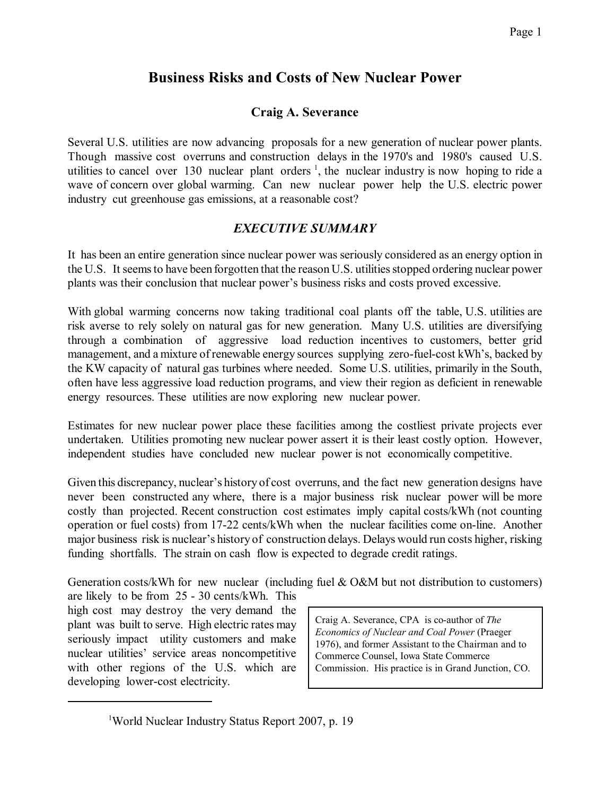# **Business Risks and Costs of New Nuclear Power**

# **Craig A. Severance**

Several U.S. utilities are now advancing proposals for a new generation of nuclear power plants. Though massive cost overruns and construction delays in the 1970's and 1980's caused U.S. utilities to cancel over 130 nuclear plant orders<sup>1</sup>, the nuclear industry is now hoping to ride a wave of concern over global warming. Can new nuclear power help the U.S. electric power industry cut greenhouse gas emissions, at a reasonable cost?

# *EXECUTIVE SUMMARY*

It has been an entire generation since nuclear power was seriously considered as an energy option in the U.S. It seems to have been forgotten that the reason U.S. utilities stopped ordering nuclear power plants was their conclusion that nuclear power's business risks and costs proved excessive.

With global warming concerns now taking traditional coal plants off the table, U.S. utilities are risk averse to rely solely on natural gas for new generation. Many U.S. utilities are diversifying through a combination of aggressive load reduction incentives to customers, better grid management, and a mixture of renewable energy sources supplying zero-fuel-cost kWh's, backed by the KW capacity of natural gas turbines where needed. Some U.S. utilities, primarily in the South, often have less aggressive load reduction programs, and view their region as deficient in renewable energy resources. These utilities are now exploring new nuclear power.

Estimates for new nuclear power place these facilities among the costliest private projects ever undertaken. Utilities promoting new nuclear power assert it is their least costly option. However, independent studies have concluded new nuclear power is not economically competitive.

Given this discrepancy, nuclear's history of cost overruns, and the fact new generation designs have never been constructed any where, there is a major business risk nuclear power will be more costly than projected. Recent construction cost estimates imply capital costs/kWh (not counting operation or fuel costs) from 17-22 cents/kWh when the nuclear facilities come on-line. Another major business risk is nuclear's history of construction delays. Delays would run costs higher, risking funding shortfalls. The strain on cash flow is expected to degrade credit ratings.

Generation costs/kWh for new nuclear (including fuel  $\&$  O&M but not distribution to customers)

are likely to be from 25 - 30 cents/kWh. This high cost may destroy the very demand the plant was built to serve. High electric rates may seriously impact utility customers and make nuclear utilities' service areas noncompetitive with other regions of the U.S. which are developing lower-cost electricity.

Craig A. Severance, CPA is co-author of *The Economics of Nuclear and Coal Power* (Praeger 1976), and former Assistant to the Chairman and to Commerce Counsel, Iowa State Commerce Commission. His practice is in Grand Junction, CO.

<sup>&</sup>lt;sup>1</sup>World Nuclear Industry Status Report 2007, p. 19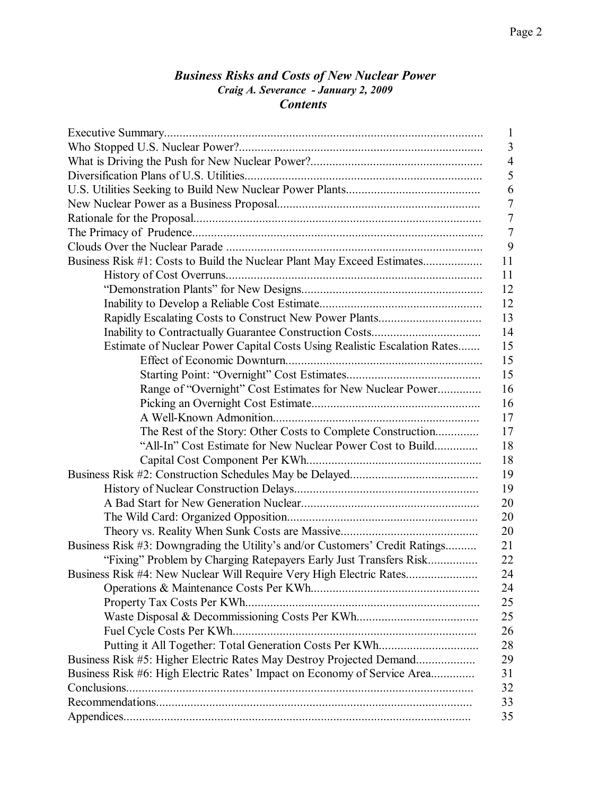### *Business Risks and Costs of New Nuclear Power Craig A. Severance - January 2, 2009 Contents*

|                                                                                    | $\mathbf{1}$   |
|------------------------------------------------------------------------------------|----------------|
|                                                                                    | 3              |
|                                                                                    | 4              |
|                                                                                    | 5              |
|                                                                                    | 6              |
|                                                                                    | 7              |
|                                                                                    | $\overline{7}$ |
|                                                                                    | $\tau$         |
|                                                                                    | 9              |
| Business Risk #1: Costs to Build the Nuclear Plant May Exceed Estimates<br>11      |                |
| 11                                                                                 |                |
| 12                                                                                 |                |
| 12                                                                                 |                |
| 13                                                                                 |                |
| 14                                                                                 |                |
| 15<br>Estimate of Nuclear Power Capital Costs Using Realistic Escalation Rates     |                |
| 15                                                                                 |                |
| 15                                                                                 |                |
| 16<br>Range of "Overnight" Cost Estimates for New Nuclear Power                    |                |
| 16                                                                                 |                |
| 17                                                                                 |                |
| 17<br>The Rest of the Story: Other Costs to Complete Construction                  |                |
| 18<br>"All-In" Cost Estimate for New Nuclear Power Cost to Build                   |                |
| 18                                                                                 |                |
| 19                                                                                 |                |
| 19                                                                                 |                |
| 20                                                                                 |                |
| 20                                                                                 |                |
| 20                                                                                 |                |
| Business Risk #3: Downgrading the Utility's and/or Customers' Credit Ratings<br>21 |                |
| "Fixing" Problem by Charging Ratepayers Early Just Transfers Risk<br>22            |                |
| Business Risk #4: New Nuclear Will Require Very High Electric Rates.<br>24         |                |
| 24                                                                                 |                |
| 25                                                                                 |                |
| 25                                                                                 |                |
| Fuel Cycle Costs Per KWh<br>26                                                     |                |
| 28                                                                                 |                |
| Business Risk #5: Higher Electric Rates May Destroy Projected Demand<br>29         |                |
| Business Risk #6: High Electric Rates' Impact on Economy of Service Area<br>31     |                |
| 32                                                                                 |                |
| 33                                                                                 |                |
| 35                                                                                 |                |
|                                                                                    |                |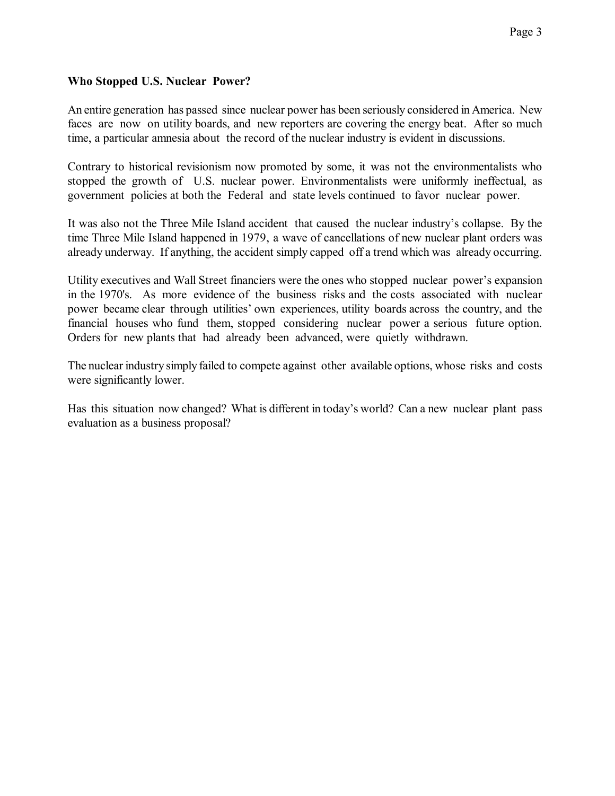### **Who Stopped U.S. Nuclear Power?**

An entire generation has passed since nuclear power has been seriously considered in America. New faces are now on utility boards, and new reporters are covering the energy beat. After so much time, a particular amnesia about the record of the nuclear industry is evident in discussions.

Contrary to historical revisionism now promoted by some, it was not the environmentalists who stopped the growth of U.S. nuclear power. Environmentalists were uniformly ineffectual, as government policies at both the Federal and state levels continued to favor nuclear power.

It was also not the Three Mile Island accident that caused the nuclear industry's collapse. By the time Three Mile Island happened in 1979, a wave of cancellations of new nuclear plant orders was already underway. If anything, the accident simply capped off a trend which was already occurring.

Utility executives and Wall Street financiers were the ones who stopped nuclear power's expansion in the 1970's. As more evidence of the business risks and the costs associated with nuclear power became clear through utilities' own experiences, utility boards across the country, and the financial houses who fund them, stopped considering nuclear power a serious future option. Orders for new plants that had already been advanced, were quietly withdrawn.

The nuclear industry simply failed to compete against other available options, whose risks and costs were significantly lower.

Has this situation now changed? What is different in today's world? Can a new nuclear plant pass evaluation as a business proposal?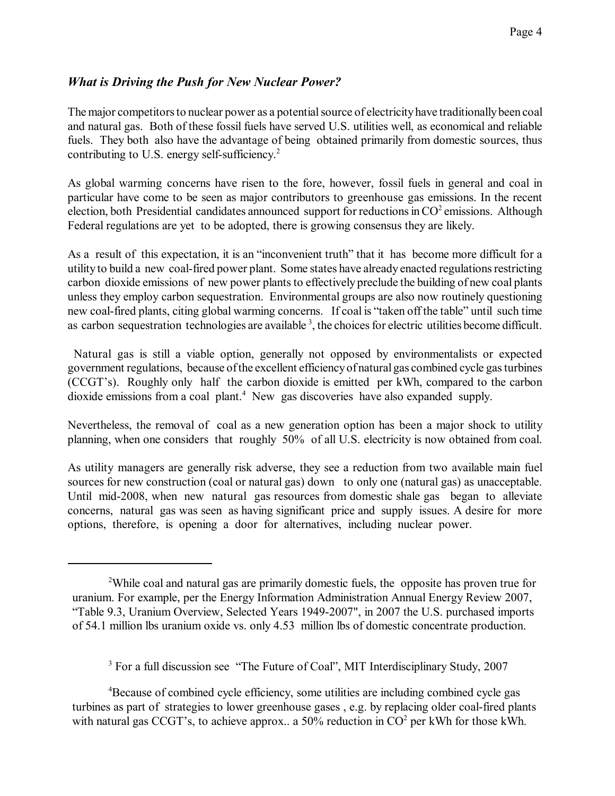## *What is Driving the Push for New Nuclear Power?*

The major competitors to nuclear power as a potential source of electricity have traditionally been coal and natural gas. Both of these fossil fuels have served U.S. utilities well, as economical and reliable fuels. They both also have the advantage of being obtained primarily from domestic sources, thus contributing to U.S. energy self-sufficiency.<sup>2</sup>

As global warming concerns have risen to the fore, however, fossil fuels in general and coal in particular have come to be seen as major contributors to greenhouse gas emissions. In the recent election, both Presidential candidates announced support for reductions in  $CO<sup>2</sup>$  emissions. Although Federal regulations are yet to be adopted, there is growing consensus they are likely.

As a result of this expectation, it is an "inconvenient truth" that it has become more difficult for a utility to build a new coal-fired power plant. Some states have already enacted regulationsrestricting carbon dioxide emissions of new power plants to effectively preclude the building of new coal plants unless they employ carbon sequestration. Environmental groups are also now routinely questioning new coal-fired plants, citing global warming concerns. If coal is "taken off the table" until such time as carbon sequestration technologies are available  $3$ , the choices for electric utilities become difficult.

Natural gas is still a viable option, generally not opposed by environmentalists or expected government regulations, because ofthe excellent efficiencyof naturalgas combined cycle gasturbines (CCGT's). Roughly only half the carbon dioxide is emitted per kWh, compared to the carbon dioxide emissions from a coal plant.<sup>4</sup> New gas discoveries have also expanded supply.

Nevertheless, the removal of coal as a new generation option has been a major shock to utility planning, when one considers that roughly 50% of all U.S. electricity is now obtained from coal.

As utility managers are generally risk adverse, they see a reduction from two available main fuel sources for new construction (coal or natural gas) down to only one (natural gas) as unacceptable. Until mid-2008, when new natural gas resources from domestic shale gas began to alleviate concerns, natural gas was seen as having significant price and supply issues. A desire for more options, therefore, is opening a door for alternatives, including nuclear power.

<sup>3</sup> For a full discussion see "The Future of Coal", MIT Interdisciplinary Study, 2007

<sup>4</sup>Because of combined cycle efficiency, some utilities are including combined cycle gas turbines as part of strategies to lower greenhouse gases , e.g. by replacing older coal-fired plants with natural gas CCGT's, to achieve approx.. a 50% reduction in  $CO<sup>2</sup>$  per kWh for those kWh.

<sup>2</sup>While coal and natural gas are primarily domestic fuels, the opposite has proven true for uranium. For example, per the Energy Information Administration Annual Energy Review 2007, "Table 9.3, Uranium Overview, Selected Years 1949-2007", in 2007 the U.S. purchased imports of 54.1 million lbs uranium oxide vs. only 4.53 million lbs of domestic concentrate production.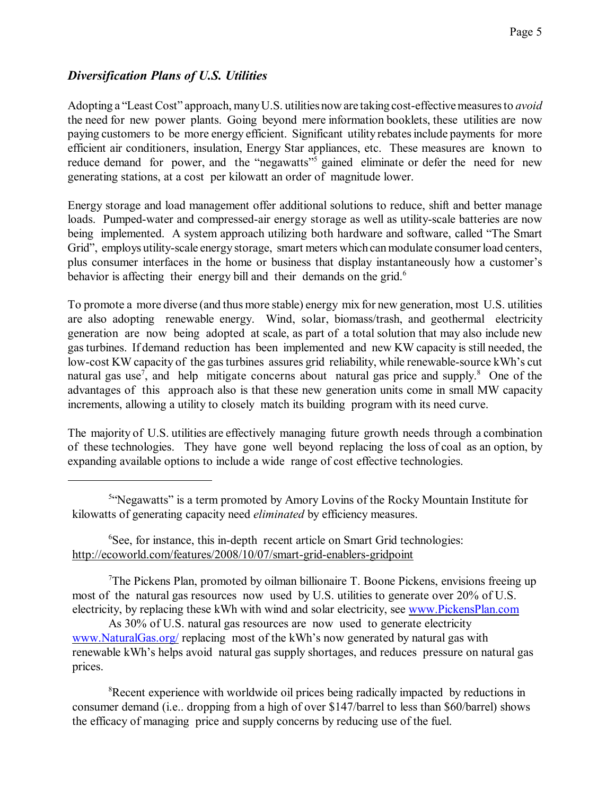### *Diversification Plans of U.S. Utilities*

Adopting a "Least Cost" approach, manyU.S. utilities noware taking cost-effectivemeasuresto *avoid* the need for new power plants. Going beyond mere information booklets, these utilities are now paying customers to be more energy efficient. Significant utility rebatesinclude payments for more efficient air conditioners, insulation, Energy Star appliances, etc. These measures are known to reduce demand for power, and the "negawatts"<sup>5</sup> gained eliminate or defer the need for new generating stations, at a cost per kilowatt an order of magnitude lower.

Energy storage and load management offer additional solutions to reduce, shift and better manage loads. Pumped-water and compressed-air energy storage as well as utility-scale batteries are now being implemented. A system approach utilizing both hardware and software, called "The Smart Grid", employs utility-scale energy storage, smart meters which can modulate consumer load centers, plus consumer interfaces in the home or business that display instantaneously how a customer's behavior is affecting their energy bill and their demands on the grid.<sup>6</sup>

To promote a more diverse (and thus more stable) energy mix for new generation, most U.S. utilities are also adopting renewable energy. Wind, solar, biomass/trash, and geothermal electricity generation are now being adopted at scale, as part of a total solution that may also include new gasturbines. If demand reduction has been implemented and new KW capacity is still needed, the low-cost KW capacity of the gas turbines assures grid reliability, while renewable-source kWh's cut natural gas use<sup>7</sup>, and help mitigate concerns about natural gas price and supply.<sup>8</sup> One of the advantages of this approach also is that these new generation units come in small MW capacity increments, allowing a utility to closely match its building program with its need curve.

The majority of U.S. utilities are effectively managing future growth needs through a combination of these technologies. They have gone well beyond replacing the loss of coal as an option, by expanding available options to include a wide range of cost effective technologies.

<sup>6</sup>See, for instance, this in-depth recent article on Smart Grid technologies: <http://ecoworld.com/features/2008/10/07/smart-grid-enablers-gridpoint>

<sup>7</sup>The Pickens Plan, promoted by oilman billionaire T. Boone Pickens, envisions freeing up most of the natural gas resources now used by U.S. utilities to generate over 20% of U.S. electricity, by replacing these kWh with wind and solar electricity, see [www.PickensPlan.com](http://www.PickensPlan.com)

As 30% of U.S. natural gas resources are now used to generate electricity [www.NaturalGas.org/](http://www.NaturalGas.org/) replacing most of the kWh's now generated by natural gas with renewable kWh's helps avoid natural gas supply shortages, and reduces pressure on natural gas prices.

<sup>8</sup>Recent experience with worldwide oil prices being radically impacted by reductions in consumer demand (i.e.. dropping from a high of over \$147/barrel to less than \$60/barrel) shows the efficacy of managing price and supply concerns by reducing use of the fuel.

<sup>&</sup>lt;sup>54</sup>Negawatts" is a term promoted by Amory Lovins of the Rocky Mountain Institute for kilowatts of generating capacity need *eliminated* by efficiency measures.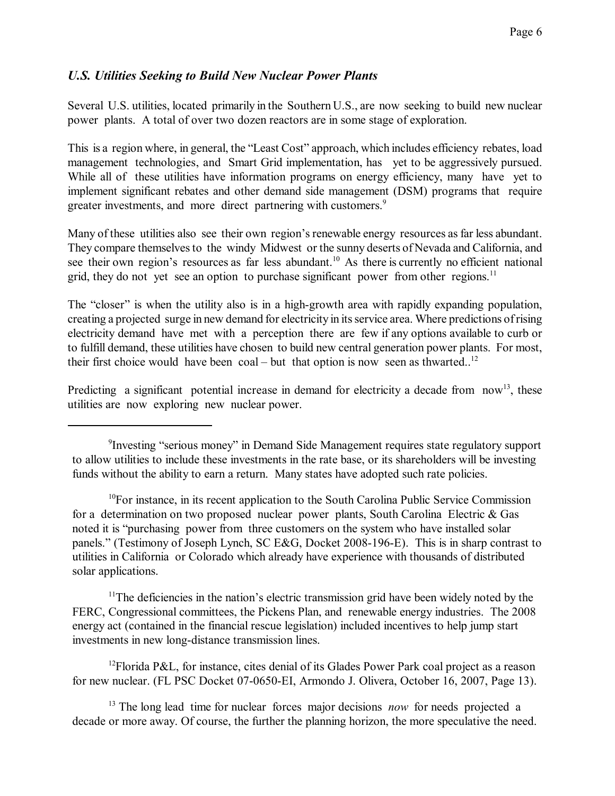### *U.S. Utilities Seeking to Build New Nuclear Power Plants*

Several U.S. utilities, located primarily in the Southern U.S., are now seeking to build new nuclear power plants. A total of over two dozen reactors are in some stage of exploration.

This is a region where, in general, the "Least Cost" approach, which includes efficiency rebates, load management technologies, and Smart Grid implementation, has yet to be aggressively pursued. While all of these utilities have information programs on energy efficiency, many have yet to implement significant rebates and other demand side management (DSM) programs that require greater investments, and more direct partnering with customers.<sup>9</sup>

Many of these utilities also see their own region's renewable energy resources as far less abundant. They compare themselves to the windy Midwest or the sunny deserts of Nevada and California, and see their own region's resources as far less abundant.<sup>10</sup> As there is currently no efficient national grid, they do not yet see an option to purchase significant power from other regions.<sup>11</sup>

The "closer" is when the utility also is in a high-growth area with rapidly expanding population, creating a projected surge in new demand for electricity in itsservice area. Where predictions ofrising electricity demand have met with a perception there are few if any options available to curb or to fulfill demand, these utilities have chosen to build new central generation power plants. For most, their first choice would have been coal – but that option is now seen as thwarted..<sup>12</sup>

Predicting a significant potential increase in demand for electricity a decade from now<sup>13</sup>, these utilities are now exploring new nuclear power.

<sup>11</sup>The deficiencies in the nation's electric transmission grid have been widely noted by the FERC, Congressional committees, the Pickens Plan, and renewable energy industries. The 2008 energy act (contained in the financial rescue legislation) included incentives to help jump start investments in new long-distance transmission lines.

<sup>12</sup>Florida P&L, for instance, cites denial of its Glades Power Park coal project as a reason for new nuclear. (FL PSC Docket 07-0650-EI, Armondo J. Olivera, October 16, 2007, Page 13).

<sup>13</sup> The long lead time for nuclear forces major decisions *now* for needs projected a decade or more away. Of course, the further the planning horizon, the more speculative the need.

<sup>&</sup>lt;sup>9</sup>Investing "serious money" in Demand Side Management requires state regulatory support to allow utilities to include these investments in the rate base, or its shareholders will be investing funds without the ability to earn a return. Many states have adopted such rate policies.

 $10$ For instance, in its recent application to the South Carolina Public Service Commission for a determination on two proposed nuclear power plants, South Carolina Electric & Gas noted it is "purchasing power from three customers on the system who have installed solar panels." (Testimony of Joseph Lynch, SC E&G, Docket 2008-196-E). This is in sharp contrast to utilities in California or Colorado which already have experience with thousands of distributed solar applications.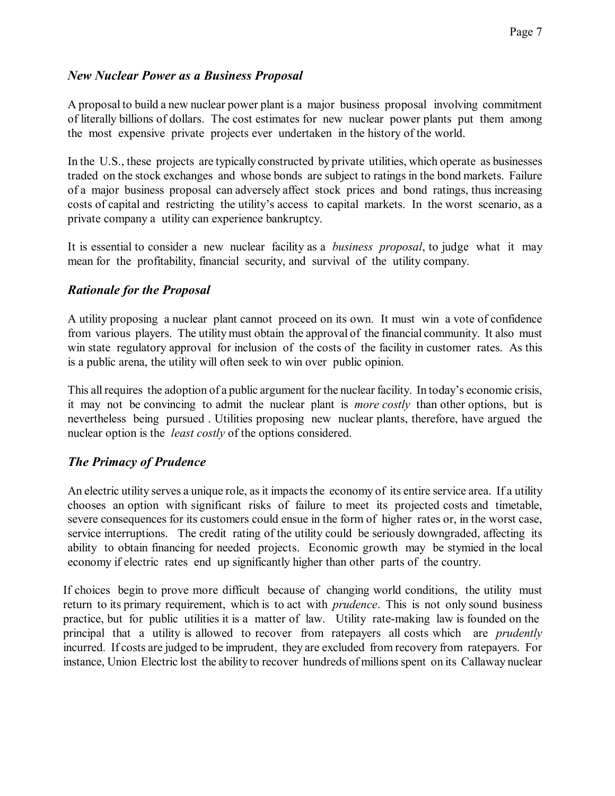### *New Nuclear Power as a Business Proposal*

A proposal to build a new nuclear power plant is a major business proposal involving commitment of literally billions of dollars. The cost estimates for new nuclear power plants put them among the most expensive private projects ever undertaken in the history of the world.

In the U.S., these projects are typically constructed by private utilities, which operate as businesses traded on the stock exchanges and whose bonds are subject to ratings in the bond markets. Failure of a major business proposal can adversely affect stock prices and bond ratings, thus increasing costs of capital and restricting the utility's access to capital markets. In the worst scenario, as a private company a utility can experience bankruptcy.

It is essential to consider a new nuclear facility as a *business proposal*, to judge what it may mean for the profitability, financial security, and survival of the utility company.

### *Rationale for the Proposal*

A utility proposing a nuclear plant cannot proceed on its own. It must win a vote of confidence from various players. The utility must obtain the approval of the financial community. It also must win state regulatory approval for inclusion of the costs of the facility in customer rates. As this is a public arena, the utility will often seek to win over public opinion.

This allrequires the adoption of a public argument for the nuclear facility. In today's economic crisis, it may not be convincing to admit the nuclear plant is *more costly* than other options, but is nevertheless being pursued . Utilities proposing new nuclear plants, therefore, have argued the nuclear option is the *least costly* of the options considered.

### *The Primacy of Prudence*

An electric utility serves a unique role, as it impacts the economy of its entire service area. If a utility chooses an option with significant risks of failure to meet its projected costs and timetable, severe consequences for its customers could ensue in the form of higher rates or, in the worst case, service interruptions. The credit rating of the utility could be seriously downgraded, affecting its ability to obtain financing for needed projects. Economic growth may be stymied in the local economy if electric rates end up significantly higher than other parts of the country.

If choices begin to prove more difficult because of changing world conditions, the utility must return to its primary requirement, which is to act with *prudence*. This is not only sound business practice, but for public utilities it is a matter of law. Utility rate-making law is founded on the principal that a utility is allowed to recover from ratepayers all costs which are *prudently* incurred. If costs are judged to be imprudent, they are excluded from recovery from ratepayers. For instance, Union Electric lost the ability to recover hundreds of millions spent on its Callaway nuclear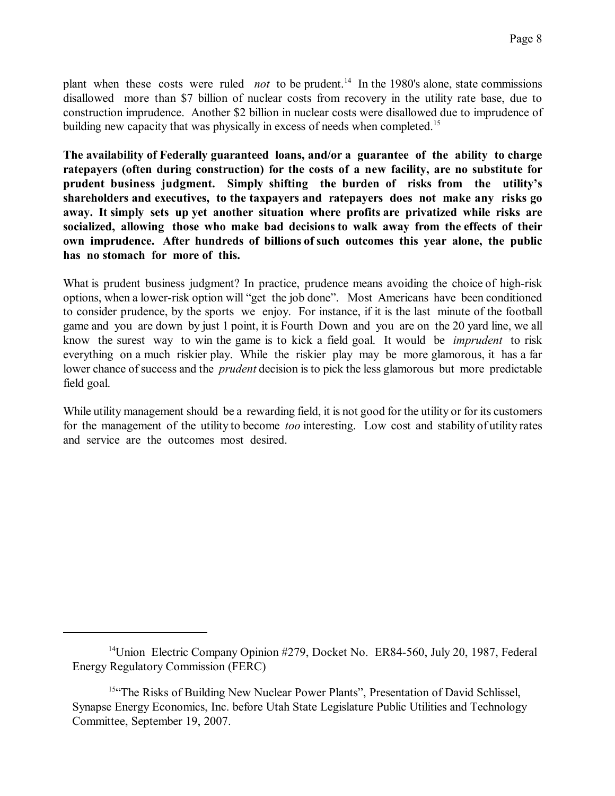plant when these costs were ruled *not* to be prudent.<sup>14</sup> In the 1980's alone, state commissions disallowed more than \$7 billion of nuclear costs from recovery in the utility rate base, due to construction imprudence. Another \$2 billion in nuclear costs were disallowed due to imprudence of building new capacity that was physically in excess of needs when completed.<sup>15</sup>

**The availability of Federally guaranteed loans, and/or a guarantee of the ability to charge ratepayers (often during construction) for the costs of a new facility, are no substitute for prudent business judgment. Simply shifting the burden of risks from the utility's shareholders and executives, to the taxpayers and ratepayers does not make any risks go away. It simply sets up yet another situation where profits are privatized while risks are socialized, allowing those who make bad decisions to walk away from the effects of their own imprudence. After hundreds of billions of such outcomes this year alone, the public has no stomach for more of this.**

What is prudent business judgment? In practice, prudence means avoiding the choice of high-risk options, when a lower-risk option will "get the job done". Most Americans have been conditioned to consider prudence, by the sports we enjoy. For instance, if it is the last minute of the football game and you are down by just 1 point, it is Fourth Down and you are on the 20 yard line, we all know the surest way to win the game is to kick a field goal. It would be *imprudent* to risk everything on a much riskier play. While the riskier play may be more glamorous, it has a far lower chance of success and the *prudent* decision is to pick the less glamorous but more predictable field goal.

While utility management should be a rewarding field, it is not good for the utility or for its customers for the management of the utility to become *too* interesting. Low cost and stability of utility rates and service are the outcomes most desired.

<sup>&</sup>lt;sup>14</sup>Union Electric Company Opinion #279, Docket No. ER84-560, July 20, 1987, Federal Energy Regulatory Commission (FERC)

<sup>15&</sup>lt;sup>ce</sup>The Risks of Building New Nuclear Power Plants", Presentation of David Schlissel, Synapse Energy Economics, Inc. before Utah State Legislature Public Utilities and Technology Committee, September 19, 2007.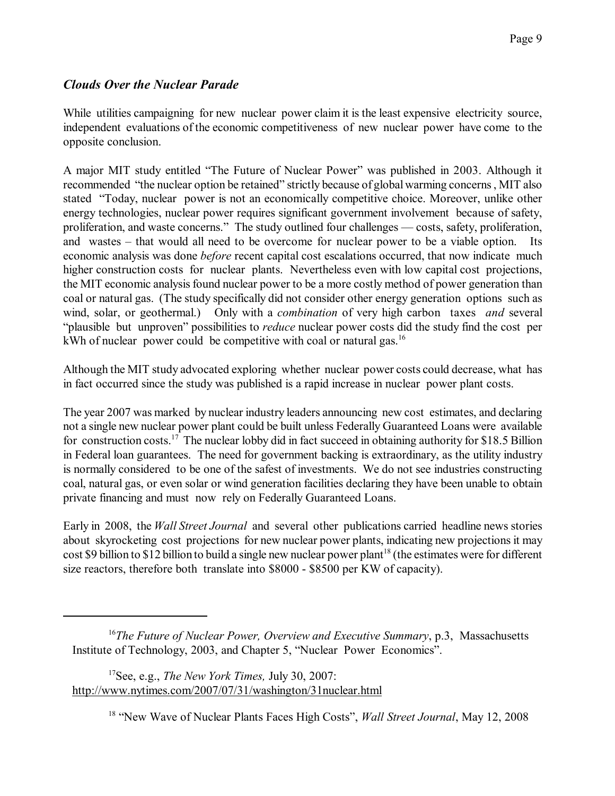## *Clouds Over the Nuclear Parade*

While utilities campaigning for new nuclear power claim it is the least expensive electricity source, independent evaluations of the economic competitiveness of new nuclear power have come to the opposite conclusion.

A major MIT study entitled "The Future of Nuclear Power" was published in 2003. Although it recommended "the nuclear option be retained" strictly because of globalwarming concerns, MIT also stated "Today, nuclear power is not an economically competitive choice. Moreover, unlike other energy technologies, nuclear power requires significant government involvement because of safety, proliferation, and waste concerns." The study outlined four challenges — costs, safety, proliferation, and wastes – that would all need to be overcome for nuclear power to be a viable option. Its economic analysis was done *before* recent capital cost escalations occurred, that now indicate much higher construction costs for nuclear plants. Nevertheless even with low capital cost projections, the MIT economic analysis found nuclear power to be a more costly method of power generation than coal or natural gas. (The study specifically did not consider other energy generation options such as wind, solar, or geothermal.) Only with a *combination* of very high carbon taxes *and* several "plausible but unproven" possibilities to *reduce* nuclear power costs did the study find the cost per kWh of nuclear power could be competitive with coal or natural gas.<sup>16</sup>

Although the MIT study advocated exploring whether nuclear power costs could decrease, what has in fact occurred since the study was published is a rapid increase in nuclear power plant costs.

The year 2007 was marked by nuclear industry leaders announcing new cost estimates, and declaring not a single new nuclear power plant could be built unless Federally Guaranteed Loans were available for construction costs.<sup>17</sup> The nuclear lobby did in fact succeed in obtaining authority for \$18.5 Billion in Federal loan guarantees. The need for government backing is extraordinary, as the utility industry is normally considered to be one of the safest of investments. We do not see industries constructing coal, natural gas, or even solar or wind generation facilities declaring they have been unable to obtain private financing and must now rely on Federally Guaranteed Loans.

Early in 2008, the *Wall Street Journal* and several other publications carried headline news stories about skyrocketing cost projections for new nuclear power plants, indicating new projections it may cost \$9 billion to \$12 billion to build a single new nuclear power plant<sup>18</sup> (the estimates were for different size reactors, therefore both translate into \$8000 - \$8500 per KW of capacity).

<sup>16</sup>*The Future of Nuclear Power, Overview and Executive Summary*, p.3, Massachusetts Institute of Technology, 2003, and Chapter 5, "Nuclear Power Economics".

<sup>17</sup>See, e.g., *The New York Times,* July 30, 2007: <http://www.nytimes.com/2007/07/31/washington/31nuclear.html>

18 "New Wave of Nuclear Plants Faces High Costs", *Wall Street Journal*, May 12, 2008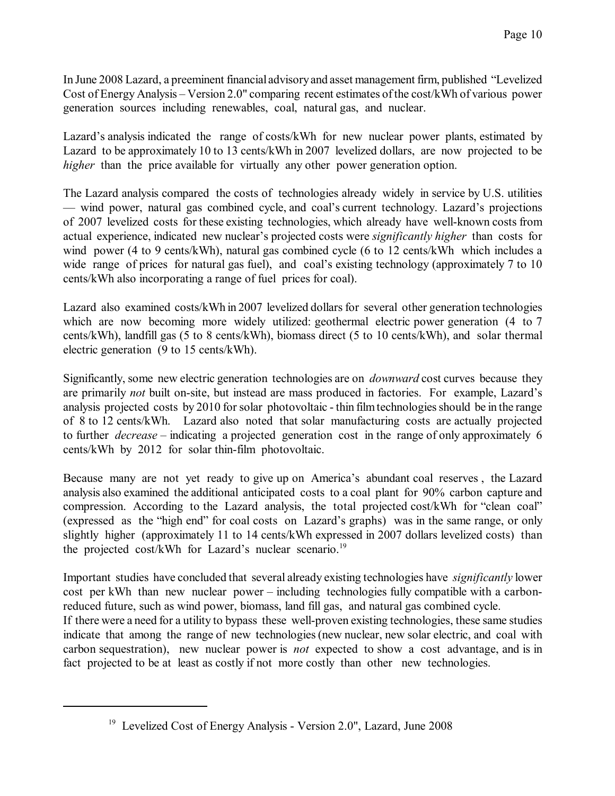In June 2008 Lazard, a preeminent financial advisoryand asset management firm, published "Levelized Cost of Energy Analysis – Version 2.0" comparing recent estimates ofthe cost/kWh of various power generation sources including renewables, coal, natural gas, and nuclear.

Lazard's analysis indicated the range of costs/kWh for new nuclear power plants, estimated by Lazard to be approximately 10 to 13 cents/kWh in 2007 levelized dollars, are now projected to be *higher* than the price available for virtually any other power generation option.

The Lazard analysis compared the costs of technologies already widely in service by U.S. utilities — wind power, natural gas combined cycle, and coal's current technology. Lazard's projections of 2007 levelized costs for these existing technologies, which already have well-known costs from actual experience, indicated new nuclear's projected costs were *significantly higher* than costs for wind power (4 to 9 cents/kWh), natural gas combined cycle (6 to 12 cents/kWh which includes a wide range of prices for natural gas fuel), and coal's existing technology (approximately 7 to 10 cents/kWh also incorporating a range of fuel prices for coal).

Lazard also examined costs/kWh in 2007 levelized dollars for several other generation technologies which are now becoming more widely utilized: geothermal electric power generation (4 to 7 cents/kWh), landfill gas (5 to 8 cents/kWh), biomass direct (5 to 10 cents/kWh), and solar thermal electric generation (9 to 15 cents/kWh).

Significantly, some new electric generation technologies are on *downward* cost curves because they are primarily *not* built on-site, but instead are mass produced in factories. For example, Lazard's analysis projected costs by 2010 for solar photovoltaic - thin film technologies should be in the range of 8 to 12 cents/kWh. Lazard also noted that solar manufacturing costs are actually projected to further *decrease* – indicating a projected generation cost in the range of only approximately 6 cents/kWh by 2012 for solar thin-film photovoltaic.

Because many are not yet ready to give up on America's abundant coal reserves , the Lazard analysis also examined the additional anticipated costs to a coal plant for 90% carbon capture and compression. According to the Lazard analysis, the total projected cost/kWh for "clean coal" (expressed as the "high end" for coal costs on Lazard's graphs) was in the same range, or only slightly higher (approximately 11 to 14 cents/kWh expressed in 2007 dollars levelized costs) than the projected cost/kWh for Lazard's nuclear scenario.<sup>19</sup>

Important studies have concluded that several already existing technologies have *significantly* lower cost per kWh than new nuclear power – including technologies fully compatible with a carbonreduced future, such as wind power, biomass, land fill gas, and natural gas combined cycle.

If there were a need for a utility to bypass these well-proven existing technologies, these same studies indicate that among the range of new technologies(new nuclear, new solar electric, and coal with carbon sequestration), new nuclear power is *not* expected to show a cost advantage, and is in fact projected to be at least as costly if not more costly than other new technologies.

<sup>&</sup>lt;sup>19</sup> Levelized Cost of Energy Analysis - Version 2.0", Lazard, June 2008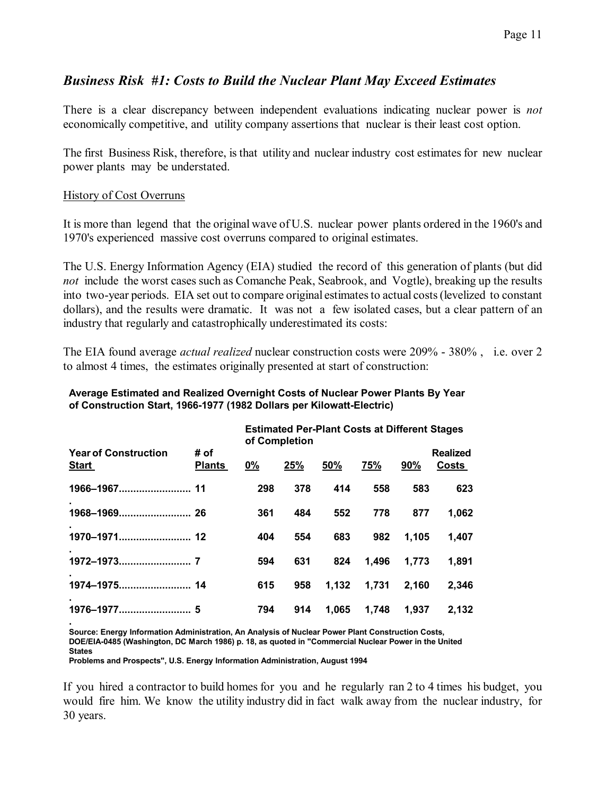## *Business Risk #1: Costs to Build the Nuclear Plant May Exceed Estimates*

There is a clear discrepancy between independent evaluations indicating nuclear power is *not* economically competitive, and utility company assertions that nuclear is their least cost option.

The first Business Risk, therefore, is that utility and nuclear industry cost estimates for new nuclear power plants may be understated.

#### History of Cost Overruns

It is more than legend that the original wave of U.S. nuclear power plants ordered in the 1960's and 1970's experienced massive cost overruns compared to original estimates.

The U.S. Energy Information Agency (EIA) studied the record of this generation of plants (but did *not* include the worst cases such as Comanche Peak, Seabrook, and Vogtle), breaking up the results into two-year periods. EIA set out to compare original estimates to actual costs (levelized to constant dollars), and the results were dramatic. It was not a few isolated cases, but a clear pattern of an industry that regularly and catastrophically underestimated its costs:

The EIA found average *actual realized* nuclear construction costs were 209% - 380% , i.e. over 2 to almost 4 times, the estimates originally presented at start of construction:

#### **Average Estimated and Realized Overnight Costs of Nuclear Power Plants By Year of Construction Start, 1966-1977 (1982 Dollars per Kilowatt-Electric)**

|                                             |                       | <b>Estimated Per-Plant Costs at Different Stages</b><br>of Completion |     |       |       |       |                          |
|---------------------------------------------|-----------------------|-----------------------------------------------------------------------|-----|-------|-------|-------|--------------------------|
| <b>Year of Construction</b><br><b>Start</b> | # of<br><b>Plants</b> | 0%                                                                    | 25% | 50%   | 75%   | 90%   | <b>Realized</b><br>Costs |
|                                             |                       | 298                                                                   | 378 | 414   | 558   | 583   | 623                      |
|                                             |                       | 361                                                                   | 484 | 552   | 778   | 877   | 1,062                    |
|                                             |                       | 404                                                                   | 554 | 683   | 982   | 1,105 | 1,407                    |
| 1972-1973.                                  |                       | 594                                                                   | 631 | 824   | 1,496 | 1,773 | 1,891                    |
|                                             |                       | 615                                                                   | 958 | 1,132 | 1,731 | 2,160 | 2,346                    |
| 1976-1977                                   | 5                     | 794                                                                   | 914 | 1,065 | 1,748 | 1,937 | 2,132                    |

**. Source: Energy Information Administration, An Analysis of Nuclear Power Plant Construction Costs, DOE/EIA-0485 (Washington, DC March 1986) p. 18, as quoted in "Commercial Nuclear Power in the United States**

**Problems and Prospects", U.S. Energy Information Administration, August 1994** 

If you hired a contractor to build homes for you and he regularly ran 2 to 4 times his budget, you would fire him. We know the utility industry did in fact walk away from the nuclear industry, for 30 years.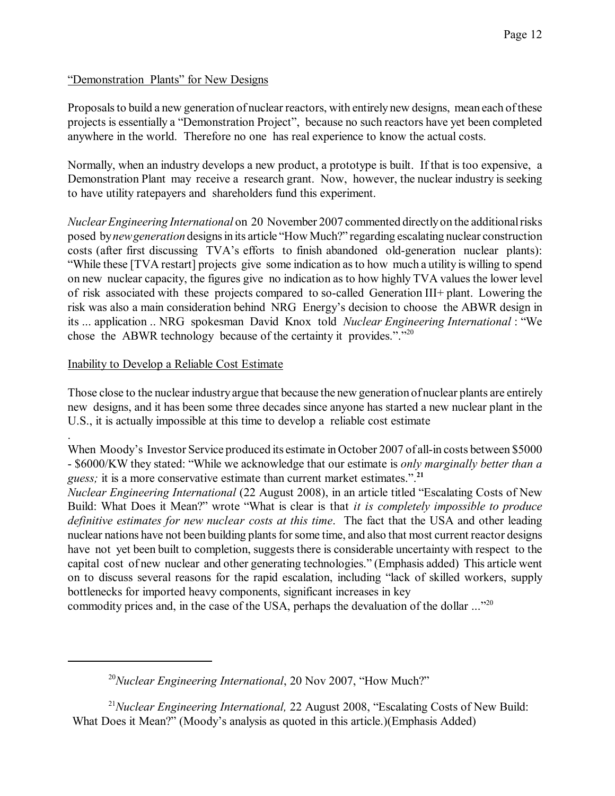### "Demonstration Plants" for New Designs

Proposals to build a new generation of nuclear reactors, with entirely new designs, mean each of these projects is essentially a "Demonstration Project", because no such reactors have yet been completed anywhere in the world. Therefore no one has real experience to know the actual costs.

Normally, when an industry develops a new product, a prototype is built. If that is too expensive, a Demonstration Plant may receive a research grant. Now, however, the nuclear industry is seeking to have utility ratepayers and shareholders fund this experiment.

*NuclearEngineering International* on 20 November 2007 commented directlyon the additionalrisks posed by *new generation* designs in its article "How Much?" regarding escalating nuclear construction costs (after first discussing TVA's efforts to finish abandoned old-generation nuclear plants): "While these [TVA restart] projects give some indication asto how much a utility is willing to spend on new nuclear capacity, the figures give no indication as to how highly TVA values the lower level of risk associated with these projects compared to so-called Generation III+ plant. Lowering the risk was also a main consideration behind NRG Energy's decision to choose the ABWR design in its ... application .. NRG spokesman David Knox told *Nuclear Engineering International* : "We chose the ABWR technology because of the certainty it provides."."<sup>20</sup>

### Inability to Develop a Reliable Cost Estimate

.

Those close to the nuclear industryargue that because the new generation of nuclear plants are entirely new designs, and it has been some three decades since anyone has started a new nuclear plant in the U.S., it is actually impossible at this time to develop a reliable cost estimate

When Moody's Investor Service produced its estimate in October 2007 of all-in costs between \$5000 - \$6000/KW they stated: "While we acknowledge that our estimate is *only marginally better than a guess;* it is a more conservative estimate than current market estimates.".**<sup>21</sup>**

*Nuclear Engineering International* (22 August 2008), in an article titled "Escalating Costs of New Build: What Does it Mean?" wrote "What is clear is that *it is completely impossible to produce definitive estimates for new nuclear costs at this time*. The fact that the USA and other leading nuclear nations have not been building plants for some time, and also that most current reactor designs have not yet been built to completion, suggests there is considerable uncertainty with respect to the capital cost of new nuclear and other generating technologies." (Emphasis added) This article went on to discuss several reasons for the rapid escalation, including "lack of skilled workers, supply bottlenecks for imported heavy components, significant increases in key

commodity prices and, in the case of the USA, perhaps the devaluation of the dollar ..."<sup>20</sup>

<sup>21</sup>*Nuclear Engineering International,* 22 August 2008, "Escalating Costs of New Build: What Does it Mean?" (Moody's analysis as quoted in this article.)(Emphasis Added)

<sup>20</sup>*Nuclear Engineering International*, 20 Nov 2007, "How Much?"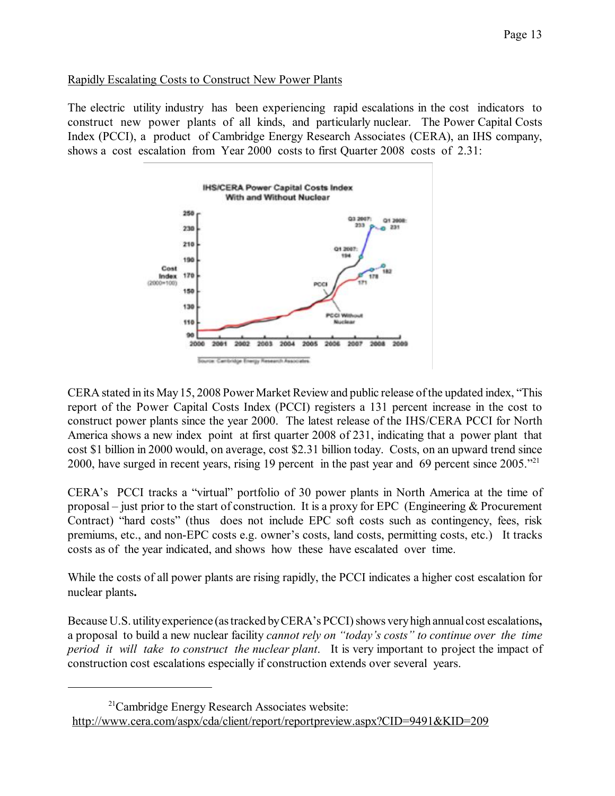### Rapidly Escalating Costs to Construct New Power Plants

The electric utility industry has been experiencing rapid escalations in the cost indicators to construct new power plants of all kinds, and particularly nuclear. The Power Capital Costs Index (PCCI), a product of Cambridge Energy Research Associates (CERA), an IHS company, shows a cost escalation from Year 2000 costs to first Quarter 2008 costs of 2.31:



CERA stated in its May15, 2008 Power Market Review and public release ofthe updated index, "This report of the Power Capital Costs Index (PCCI) registers a 131 percent increase in the cost to construct power plants since the year 2000. The latest release of the IHS/CERA PCCI for North America shows a new index point at first quarter 2008 of 231, indicating that a power plant that cost \$1 billion in 2000 would, on average, cost \$2.31 billion today. Costs, on an upward trend since 2000, have surged in recent years, rising 19 percent in the past year and 69 percent since  $2005.^{221}$ 

CERA's PCCI tracks a "virtual" portfolio of 30 power plants in North America at the time of proposal – just prior to the start of construction. It is a proxy for EPC (Engineering & Procurement Contract) "hard costs" (thus does not include EPC soft costs such as contingency, fees, risk premiums, etc., and non-EPC costs e.g. owner's costs, land costs, permitting costs, etc.) It tracks costs as of the year indicated, and shows how these have escalated over time.

While the costs of all power plants are rising rapidly, the PCCI indicates a higher cost escalation for nuclear plants**.**

Because U.S. utilityexperience (astracked byCERA's PCCI)shows veryhigh annual cost escalations**,** a proposal to build a new nuclear facility *cannot rely on "today's costs" to continue over the time period it will take to construct the nuclear plant*. It is very important to project the impact of construction cost escalations especially if construction extends over several years.

<sup>&</sup>lt;sup>21</sup>Cambridge Energy Research Associates website: <http://www.cera.com/aspx/cda/client/report/reportpreview.aspx?CID=9491&KID=209>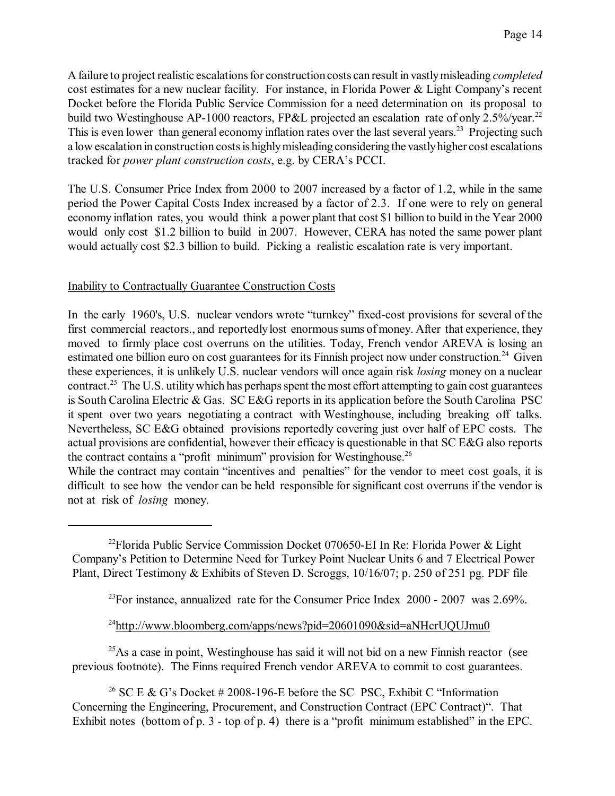A failure to project realistic escalations for construction costs can result in vastly misleading *completed* cost estimates for a new nuclear facility. For instance, in Florida Power & Light Company's recent Docket before the Florida Public Service Commission for a need determination on its proposal to build two Westinghouse AP-1000 reactors, FP&L projected an escalation rate of only 2.5%/year.<sup>22</sup> This is even lower than general economy inflation rates over the last several years.<sup>23</sup> Projecting such a low escalation in construction costs is highly misleading considering the vastly higher cost escalations tracked for *power plant construction costs*, e.g. by CERA's PCCI.

The U.S. Consumer Price Index from 2000 to 2007 increased by a factor of 1.2, while in the same period the Power Capital Costs Index increased by a factor of 2.3. If one were to rely on general economy inflation rates, you would think a power plant that cost \$1 billion to build in the Year 2000 would only cost \$1.2 billion to build in 2007. However, CERA has noted the same power plant would actually cost \$2.3 billion to build.Picking a realistic escalation rate is very important.

#### Inability to Contractually Guarantee Construction Costs

In the early 1960's, U.S. nuclear vendors wrote "turnkey" fixed-cost provisions for several of the first commercial reactors., and reportedly lost enormous sums of money. After that experience, they moved to firmly place cost overruns on the utilities. Today, French vendor AREVA is losing an estimated one billion euro on cost guarantees for its Finnish project now under construction.<sup>24</sup> Given these experiences, it is unlikely U.S. nuclear vendors will once again risk *losing* money on a nuclear contract.<sup>25</sup> The U.S. utility which has perhaps spent the most effort attempting to gain cost guarantees is South Carolina Electric & Gas. SC E&G reports in its application before the South Carolina PSC it spent over two years negotiating a contract with Westinghouse, including breaking off talks. Nevertheless, SC E&G obtained provisions reportedly covering just over half of EPC costs. The actual provisions are confidential, however their efficacy is questionable in that SC E&G also reports the contract contains a "profit minimum" provision for Westinghouse.<sup>26</sup>

While the contract may contain "incentives and penalties" for the vendor to meet cost goals, it is difficult to see how the vendor can be held responsible for significant cost overruns if the vendor is not at risk of *losing* money.

<sup>22</sup>Florida Public Service Commission Docket 070650-EI In Re: Florida Power & Light Company's Petition to Determine Need for Turkey Point Nuclear Units 6 and 7 Electrical Power Plant, Direct Testimony & Exhibits of Steven D. Scroggs, 10/16/07; p. 250 of 251 pg. PDF file

 $^{23}$ For instance, annualized rate for the Consumer Price Index 2000 - 2007 was 2.69%.

<sup>24</sup><http://www.bloomberg.com/apps/news?pid=20601090&sid=aNHcrUQUJmu0>

 $^{25}$ As a case in point, Westinghouse has said it will not bid on a new Finnish reactor (see previous footnote). The Finns required French vendor AREVA to commit to cost guarantees.

<sup>26</sup> SC E & G's Docket # 2008-196-E before the SC PSC, Exhibit C "Information" Concerning the Engineering, Procurement, and Construction Contract (EPC Contract)". That Exhibit notes (bottom of p. 3 - top of p. 4) there is a "profit minimum established" in the EPC.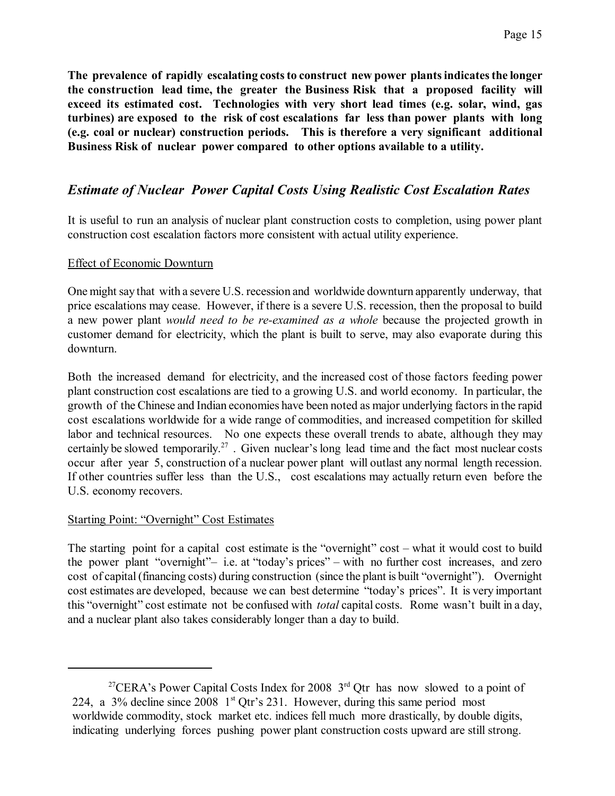**The prevalence of rapidly escalating coststo construct new power plantsindicatesthe longer the construction lead time, the greater the Business Risk that a proposed facility will exceed its estimated cost. Technologies with very short lead times (e.g. solar, wind, gas turbines) are exposed to the risk of cost escalations far less than power plants with long (e.g. coal or nuclear) construction periods. This is therefore a very significant additional Business Risk of nuclear power compared to other options available to a utility.**

## *Estimate of Nuclear Power Capital Costs Using Realistic Cost Escalation Rates*

It is useful to run an analysis of nuclear plant construction costs to completion, using power plant construction cost escalation factors more consistent with actual utility experience.

### Effect of Economic Downturn

One might say that with a severe U.S. recession and worldwide downturn apparently underway, that price escalations may cease. However, if there is a severe U.S. recession, then the proposal to build a new power plant *would need to be re-examined as a whole* because the projected growth in customer demand for electricity, which the plant is built to serve, may also evaporate during this downturn.

Both the increased demand for electricity, and the increased cost of those factors feeding power plant construction cost escalations are tied to a growing U.S. and world economy. In particular, the growth of the Chinese and Indian economies have been noted as major underlying factorsin the rapid cost escalations worldwide for a wide range of commodities, and increased competition for skilled labor and technical resources. No one expects these overall trends to abate, although they may certainly be slowed temporarily.<sup>27</sup>. Given nuclear's long lead time and the fact most nuclear costs occur after year 5, construction of a nuclear power plant will outlast any normal length recession. If other countries suffer less than the U.S., cost escalations may actually return even before the U.S. economy recovers.

#### Starting Point: "Overnight" Cost Estimates

The starting point for a capital cost estimate is the "overnight" cost – what it would cost to build the power plant "overnight"– i.e. at "today's prices" – with no further cost increases, and zero cost of capital(financing costs) during construction (since the plant is built "overnight"). Overnight cost estimates are developed, because we can best determine "today's prices". It is very important this "overnight" cost estimate not be confused with *total* capital costs. Rome wasn't built in a day, and a nuclear plant also takes considerably longer than a day to build.

<sup>&</sup>lt;sup>27</sup>CERA's Power Capital Costs Index for 2008  $3<sup>rd</sup>$  Otr has now slowed to a point of 224, a 3% decline since 2008  $1<sup>st</sup>$  Qtr's 231. However, during this same period most worldwide commodity, stock market etc. indices fell much more drastically, by double digits, indicating underlying forces pushing power plant construction costs upward are still strong.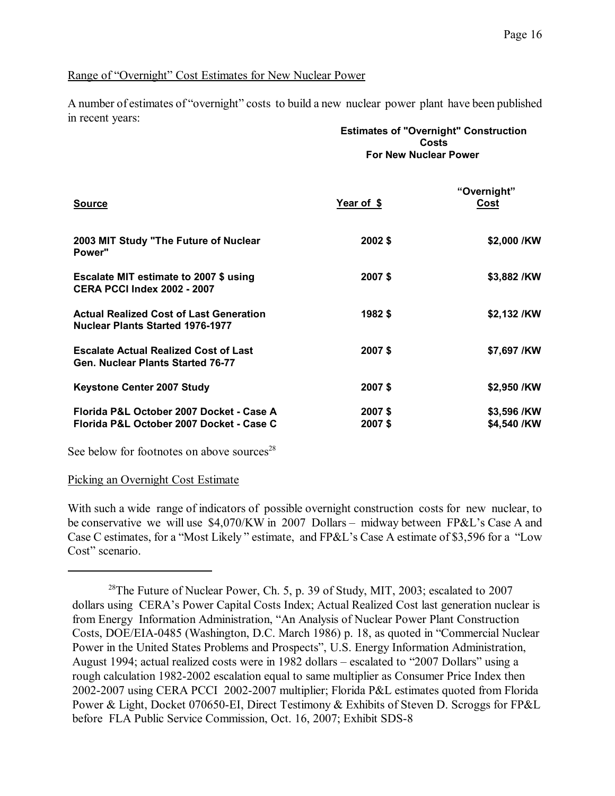#### Range of "Overnight" Cost Estimates for New Nuclear Power

A number of estimates of "overnight" costs to build a new nuclear power plant have been published in recent years:

|                                                                                           | <b>Estimates of "Overnight" Construction</b><br>Costs<br><b>For New Nuclear Power</b> |                            |  |  |
|-------------------------------------------------------------------------------------------|---------------------------------------------------------------------------------------|----------------------------|--|--|
| Source                                                                                    | Year of \$                                                                            | "Overnight"<br>Cost        |  |  |
| 2003 MIT Study "The Future of Nuclear<br>Power"                                           | 2002\$                                                                                | \$2,000 /KW                |  |  |
| Escalate MIT estimate to 2007 \$ using<br><b>CERA PCCI Index 2002 - 2007</b>              | 2007\$                                                                                | \$3,882 /KW                |  |  |
| <b>Actual Realized Cost of Last Generation</b><br><b>Nuclear Plants Started 1976-1977</b> | 1982\$                                                                                | \$2,132 /KW                |  |  |
| <b>Escalate Actual Realized Cost of Last</b><br>Gen. Nuclear Plants Started 76-77         | 2007\$                                                                                | \$7,697 /KW                |  |  |
| Keystone Center 2007 Study                                                                | 2007\$                                                                                | \$2,950 /KW                |  |  |
| Florida P&L October 2007 Docket - Case A<br>Florida P&L October 2007 Docket - Case C      | 2007\$<br>2007\$                                                                      | \$3,596 /KW<br>\$4,540 /KW |  |  |
|                                                                                           |                                                                                       |                            |  |  |

See below for footnotes on above sources<sup>28</sup>

#### Picking an Overnight Cost Estimate

With such a wide range of indicators of possible overnight construction costs for new nuclear, to be conservative we will use \$4,070/KW in 2007 Dollars – midway between FP&L's Case A and Case C estimates, for a "Most Likely " estimate, and FP&L's Case A estimate of \$3,596 for a "Low Cost" scenario.

<sup>&</sup>lt;sup>28</sup>The Future of Nuclear Power, Ch. 5, p. 39 of Study, MIT, 2003; escalated to 2007 dollars using CERA's Power Capital Costs Index; Actual Realized Cost last generation nuclear is from Energy Information Administration, "An Analysis of Nuclear Power Plant Construction Costs, DOE/EIA-0485 (Washington, D.C. March 1986) p. 18, as quoted in "Commercial Nuclear Power in the United States Problems and Prospects", U.S. Energy Information Administration, August 1994; actual realized costs were in 1982 dollars – escalated to "2007 Dollars" using a rough calculation 1982-2002 escalation equal to same multiplier as Consumer Price Index then 2002-2007 using CERA PCCI 2002-2007 multiplier; Florida P&L estimates quoted from Florida Power & Light, Docket 070650-EI, Direct Testimony & Exhibits of Steven D. Scroggs for FP&L before FLA Public Service Commission, Oct. 16, 2007; Exhibit SDS-8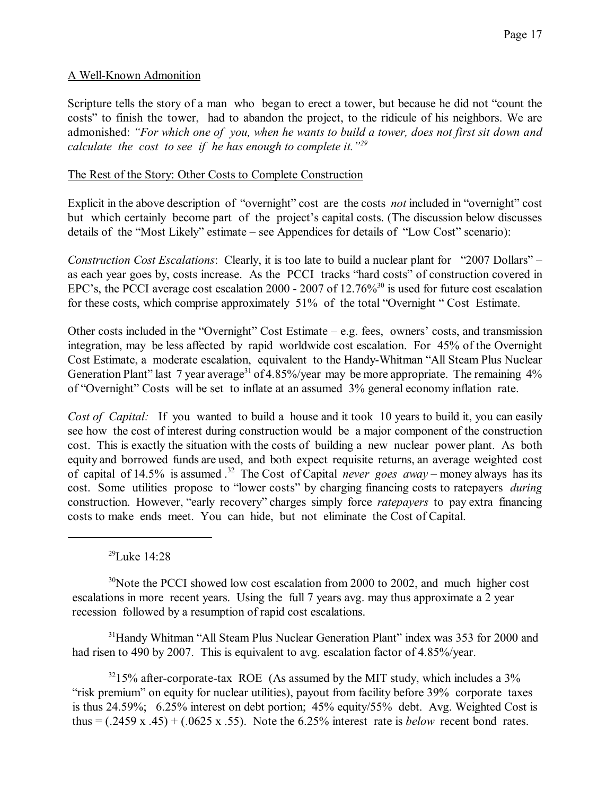### A Well-Known Admonition

Scripture tells the story of a man who began to erect a tower, but because he did not "count the costs" to finish the tower, had to abandon the project, to the ridicule of his neighbors. We are admonished: *"For which one of you, when he wants to build a tower, does not first sit down and calculate the cost to see if he has enough to complete it."<sup>29</sup>*

#### The Rest of the Story: Other Costs to Complete Construction

Explicit in the above description of "overnight" cost are the costs *not* included in "overnight" cost but which certainly become part of the project's capital costs. (The discussion below discusses details of the "Most Likely" estimate – see Appendices for details of "Low Cost" scenario):

*Construction Cost Escalations*: Clearly, it is too late to build a nuclear plant for "2007 Dollars" – as each year goes by, costs increase. As the PCCI tracks "hard costs" of construction covered in EPC's, the PCCI average cost escalation 2000 - 2007 of 12.76%<sup>30</sup> is used for future cost escalation for these costs, which comprise approximately 51% of the total "Overnight " Cost Estimate.

Other costs included in the "Overnight" Cost Estimate  $-e.g.$  fees, owners' costs, and transmission integration, may be less affected by rapid worldwide cost escalation. For 45% of the Overnight Cost Estimate, a moderate escalation, equivalent to the Handy-Whitman "All Steam Plus Nuclear Generation Plant" last 7 year average<sup>31</sup> of 4.85%/year may be more appropriate. The remaining  $4\%$ of "Overnight" Costs will be set to inflate at an assumed 3% general economy inflation rate.

*Cost of Capital:* If you wanted to build a house and it took 10 years to build it, you can easily see how the cost of interest during construction would be a major component of the construction cost. This is exactly the situation with the costs of building a new nuclear power plant. As both equity and borrowed funds are used, and both expect requisite returns, an average weighted cost of capital of 14.5% is assumed . 32 The Cost of Capital *never goes away* – money always has its cost. Some utilities propose to "lower costs" by charging financing costs to ratepayers *during* construction. However, "early recovery" charges simply force *ratepayers* to pay extra financing costs to make ends meet. You can hide, but not eliminate the Cost of Capital.

<sup>29</sup>Luke 14:28

<sup>30</sup>Note the PCCI showed low cost escalation from 2000 to 2002, and much higher cost escalations in more recent years. Using the full 7 years avg. may thus approximate a 2 year recession followed by a resumption of rapid cost escalations.

<sup>31</sup>Handy Whitman "All Steam Plus Nuclear Generation Plant" index was 353 for 2000 and had risen to 490 by 2007. This is equivalent to avg. escalation factor of 4.85%/year.

 $3215\%$  after-corporate-tax ROE (As assumed by the MIT study, which includes a 3% "risk premium" on equity for nuclear utilities), payout from facility before 39% corporate taxes is thus 24.59%; 6.25% interest on debt portion; 45% equity/55% debt. Avg. Weighted Cost is thus = (.2459 x .45) + (.0625 x .55). Note the 6.25% interest rate is *below* recent bond rates.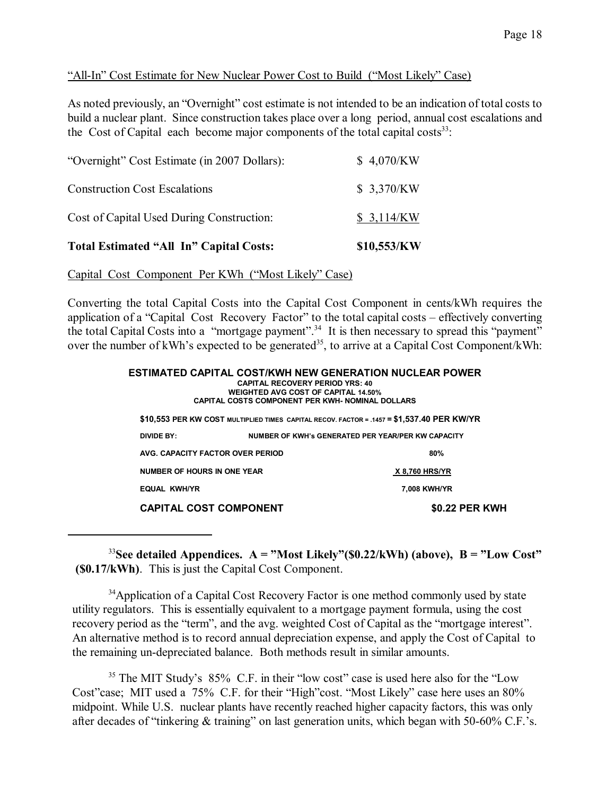### "All-In" Cost Estimate for New Nuclear Power Cost to Build ("Most Likely" Case)

As noted previously, an "Overnight" cost estimate is not intended to be an indication of total costs to build a nuclear plant. Since construction takes place over a long period, annual cost escalations and the Cost of Capital each become major components of the total capital costs $33$ :

| <b>Total Estimated "All In" Capital Costs:</b> | \$10,553/KW |
|------------------------------------------------|-------------|
| Cost of Capital Used During Construction:      | \$3,114/KW  |
| <b>Construction Cost Escalations</b>           | \$ 3,370/KW |
| "Overnight" Cost Estimate (in 2007 Dollars):   | \$4,070/KW  |

Capital Cost Component Per KWh ("Most Likely" Case)

Converting the total Capital Costs into the Capital Cost Component in cents/kWh requires the application of a "Capital Cost Recovery Factor" to the total capital costs – effectively converting the total Capital Costs into a "mortgage payment".<sup>34</sup> It is then necessary to spread this "payment" over the number of kWh's expected to be generated<sup>35</sup>, to arrive at a Capital Cost Component/kWh:

|                             | <b>CAPITAL RECOVERY PERIOD YRS: 40</b><br><b>WEIGHTED AVG COST OF CAPITAL 14.50%</b><br><b>CAPITAL COSTS COMPONENT PER KWH- NOMINAL DOLLARS</b> | ESTIMATED CAPITAL COST/KWH NEW GENERATION NUCLEAR POWER                                    |
|-----------------------------|-------------------------------------------------------------------------------------------------------------------------------------------------|--------------------------------------------------------------------------------------------|
|                             |                                                                                                                                                 | \$10,553 PER KW COST MULTIPLIED TIMES CAPITAL RECOV. FACTOR = .1457 = \$1,537.40 PER KW/YR |
| DIVIDE BY:                  |                                                                                                                                                 | NUMBER OF KWH's GENERATED PER YEAR/PER KW CAPACITY                                         |
|                             | AVG. CAPACITY FACTOR OVER PERIOD                                                                                                                | 80%                                                                                        |
| NUMBER OF HOURS IN ONE YEAR |                                                                                                                                                 | <b>X 8,760 HRS/YR</b>                                                                      |
| <b>EQUAL KWH/YR</b>         |                                                                                                                                                 | 7.008 KWH/YR                                                                               |
|                             | <b>CAPITAL COST COMPONENT</b>                                                                                                                   | <b>\$0.22 PER KWH</b>                                                                      |

<sup>33</sup>**See detailed Appendices. A = "Most Likely"(\$0.22/kWh) (above), B = "Low Cost" (\$0.17/kWh)**. This is just the Capital Cost Component.

<sup>34</sup>Application of a Capital Cost Recovery Factor is one method commonly used by state utility regulators. This is essentially equivalent to a mortgage payment formula, using the cost recovery period as the "term", and the avg. weighted Cost of Capital as the "mortgage interest". An alternative method is to record annual depreciation expense, and apply the Cost of Capital to the remaining un-depreciated balance. Both methods result in similar amounts.

<sup>35</sup> The MIT Study's 85% C.F. in their "low cost" case is used here also for the "Low" Cost"case; MIT used a 75% C.F. for their "High"cost. "Most Likely" case here uses an 80% midpoint. While U.S. nuclear plants have recently reached higher capacity factors, this was only after decades of "tinkering & training" on last generation units, which began with 50-60% C.F.'s.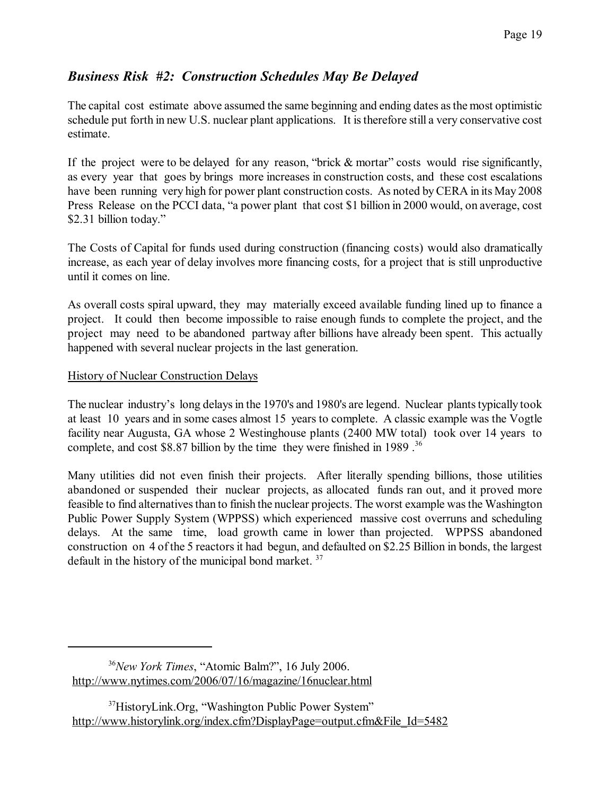# *Business Risk #2: Construction Schedules May Be Delayed*

The capital cost estimate above assumed the same beginning and ending dates asthe most optimistic schedule put forth in new U.S. nuclear plant applications. It is therefore still a very conservative cost estimate.

If the project were to be delayed for any reason, "brick & mortar" costs would rise significantly, as every year that goes by brings more increases in construction costs, and these cost escalations have been running very high for power plant construction costs. As noted by CERA in its May 2008 Press Release on the PCCI data, "a power plant that cost \$1 billion in 2000 would, on average, cost \$2.31 billion today."

The Costs of Capital for funds used during construction (financing costs) would also dramatically increase, as each year of delay involves more financing costs, for a project that is still unproductive until it comes on line.

As overall costs spiral upward, they may materially exceed available funding lined up to finance a project. It could then become impossible to raise enough funds to complete the project, and the project may need to be abandoned partway after billions have already been spent. This actually happened with several nuclear projects in the last generation.

### History of Nuclear Construction Delays

The nuclear industry's long delays in the 1970's and 1980's are legend. Nuclear plants typically took at least 10 years and in some cases almost 15 years to complete. A classic example was the Vogtle facility near Augusta, GA whose 2 Westinghouse plants (2400 MW total) took over 14 years to complete, and cost \$8.87 billion by the time they were finished in 1989 . 36

Many utilities did not even finish their projects. After literally spending billions, those utilities abandoned or suspended their nuclear projects, as allocated funds ran out, and it proved more feasible to find alternatives than to finish the nuclear projects. The worst example was the Washington Public Power Supply System (WPPSS) which experienced massive cost overruns and scheduling delays. At the same time, load growth came in lower than projected. WPPSS abandoned construction on 4 of the 5 reactorsit had begun, and defaulted on \$2.25 Billion in bonds, the largest default in the history of the municipal bond market.<sup>37</sup>

<sup>36</sup>*New York Times*, "Atomic Balm?", 16 July 2006. <http://www.nytimes.com/2006/07/16/magazine/16nuclear.html>

<sup>37</sup>HistoryLink.Org, "Washington Public Power System" [http://www.historylink.org/index.cfm?DisplayPage=output.cfm&File\\_Id=5482](http://www.historylink.org/index.cfm?DisplayPage=output.cfm&File_Id=5482)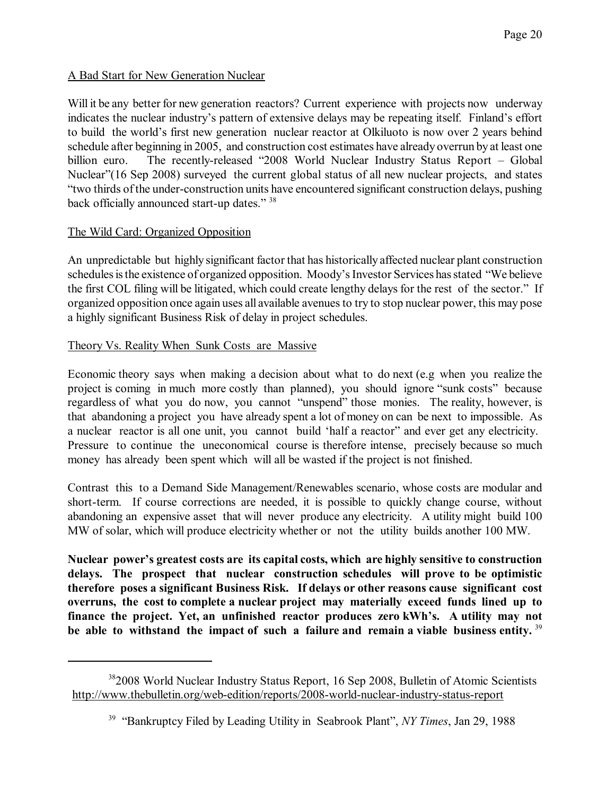### A Bad Start for New Generation Nuclear

Will it be any better for new generation reactors? Current experience with projects now underway indicates the nuclear industry's pattern of extensive delays may be repeating itself. Finland's effort to build the world's first new generation nuclear reactor at Olkiluoto is now over 2 years behind schedule after beginning in 2005, and construction cost estimates have already overrun by at least one billion euro. The recently-released "2008 World Nuclear Industry Status Report – Global Nuclear"(16 Sep 2008) surveyed the current global status of all new nuclear projects, and states "two thirds of the under-construction units have encountered significant construction delays, pushing back officially announced start-up dates." <sup>38</sup>

### The Wild Card: Organized Opposition

An unpredictable but highly significant factor that has historically affected nuclear plant construction schedules is the existence of organized opposition. Moody's Investor Services has stated "We believe the first COL filing will be litigated, which could create lengthy delays for the rest of the sector." If organized opposition once again uses all available avenuesto try to stop nuclear power, this may pose a highly significant Business Risk of delay in project schedules.

### Theory Vs. Reality When Sunk Costs are Massive

Economic theory says when making a decision about what to do next (e.g when you realize the project is coming in much more costly than planned), you should ignore "sunk costs" because regardless of what you do now, you cannot "unspend" those monies. The reality, however, is that abandoning a project you have already spent a lot of money on can be next to impossible. As a nuclear reactor is all one unit, you cannot build 'half a reactor" and ever get any electricity. Pressure to continue the uneconomical course is therefore intense, precisely because so much money has already been spent which will all be wasted if the project is not finished.

Contrast this to a Demand Side Management/Renewables scenario, whose costs are modular and short-term. If course corrections are needed, it is possible to quickly change course, without abandoning an expensive asset that will never produce any electricity. A utility might build 100 MW of solar, which will produce electricity whether or not the utility builds another 100 MW.

**Nuclear power's greatest costs are its capital costs, which are highly sensitive to construction delays. The prospect that nuclear construction schedules will prove to be optimistic therefore poses a significant Business Risk. If delays or other reasons cause significant cost overruns, the cost to complete a nuclear project may materially exceed funds lined up to finance the project. Yet, an unfinished reactor produces zero kWh's. A utility may not be able to withstand the impact of such a failure and remain a viable business entity.**  39

<sup>38</sup>2008 World Nuclear Industry Status Report, 16 Sep 2008, Bulletin of Atomic Scientists <http://www.thebulletin.org/web-edition/reports/2008-world-nuclear-industry-status-report>

<sup>39</sup> "Bankruptcy Filed by Leading Utility in Seabrook Plant", *NY Times*, Jan 29, 1988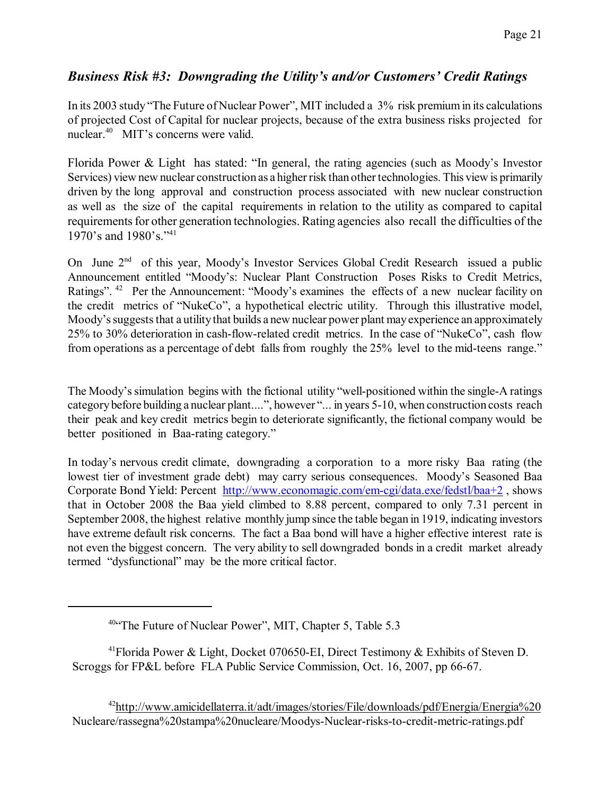## *Business Risk #3: Downgrading the Utility's and/or Customers' Credit Ratings*

In its 2003 study "The Future of Nuclear Power", MIT included a 3% risk premiumin its calculations of projected Cost of Capital for nuclear projects, because of the extra business risks projected for nuclear.<sup>40</sup> MIT's concerns were valid.

Florida Power & Light has stated: "In general, the rating agencies (such as Moody's Investor Services) view new nuclear construction as a higher risk than other technologies. This view is primarily driven by the long approval and construction process associated with new nuclear construction as well as the size of the capital requirements in relation to the utility as compared to capital requirements for other generation technologies. Rating agencies also recall the difficulties of the 1970's and 1980's."<sup>41</sup>

On June 2<sup>nd</sup> of this year, Moody's Investor Services Global Credit Research issued a public Announcement entitled "Moody's: Nuclear Plant Construction Poses Risks to Credit Metrics, Ratings". <sup>42</sup> Per the Announcement: "Moody's examines the effects of a new nuclear facility on the credit metrics of "NukeCo", a hypothetical electric utility. Through this illustrative model, Moody's suggests that a utility that builds a new nuclear power plant may experience an approximately 25% to 30% deterioration in cash-flow-related credit metrics. In the case of "NukeCo", cash flow from operations as a percentage of debt falls from roughly the 25% level to the mid-teens range."

The Moody's simulation begins with the fictional utility "well-positioned within the single-A ratings categorybefore building a nuclear plant....", however "... in years 5-10, when construction costs reach their peak and key credit metrics begin to deteriorate significantly, the fictional company would be better positioned in Baa-rating category."

In today's nervous credit climate, downgrading a corporation to a more risky Baa rating (the lowest tier of investment grade debt) may carry serious consequences. Moody's Seasoned Baa Corporate Bond Yield: Percent <http://www.economagic.com/em-cgi/data.exe/fedstl/baa+2>, shows that in October 2008 the Baa yield climbed to 8.88 percent, compared to only 7.31 percent in September 2008, the highest relative monthly jump since the table began in 1919, indicating investors have extreme default risk concerns. The fact a Baa bond will have a higher effective interest rate is not even the biggest concern. The very ability to sell downgraded bonds in a credit market already termed "dysfunctional" may be the more critical factor.

<sup>42</sup><http://www.amicidellaterra.it/adt/images/stories/File/downloads/pdf/Energia/Energia%20> Nucleare/rassegna%20stampa%20nucleare/Moodys-Nuclear-risks-to-credit-metric-ratings.pdf

<sup>&</sup>lt;sup>40"</sup>The Future of Nuclear Power", MIT, Chapter 5, Table 5.3

<sup>41</sup>Florida Power & Light, Docket 070650-EI, Direct Testimony & Exhibits of Steven D. Scroggs for FP&L before FLA Public Service Commission, Oct. 16, 2007, pp 66-67.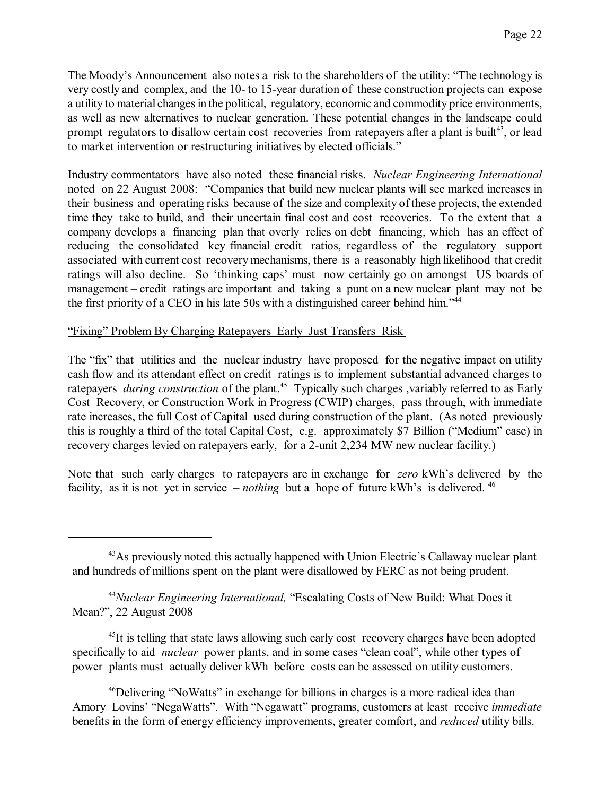The Moody's Announcement also notes a risk to the shareholders of the utility: "The technology is very costly and complex, and the 10- to 15-year duration of these construction projects can expose a utility to material changes in the political, regulatory, economic and commodity price environments, as well as new alternatives to nuclear generation. These potential changes in the landscape could prompt regulators to disallow certain cost recoveries from ratepayers after a plant is built<sup>43</sup>, or lead to market intervention or restructuring initiatives by elected officials."

Industry commentators have also noted these financial risks. *Nuclear Engineering International* noted on 22 August 2008: "Companies that build new nuclear plants will see marked increases in their business and operating risks because of the size and complexity of these projects, the extended time they take to build, and their uncertain final cost and cost recoveries. To the extent that a company develops a financing plan that overly relies on debt financing, which has an effect of reducing the consolidated key financial credit ratios, regardless of the regulatory support associated with current cost recovery mechanisms, there is a reasonably high likelihood that credit ratings will also decline. So 'thinking caps' must now certainly go on amongst US boards of management – credit ratings are important and taking a punt on a new nuclear plant may not be the first priority of a CEO in his late 50s with a distinguished career behind him."<sup>44</sup>

#### "Fixing" Problem By Charging Ratepayers Early Just Transfers Risk

The "fix" that utilities and the nuclear industry have proposed for the negative impact on utility cash flow and its attendant effect on credit ratings is to implement substantial advanced charges to ratepayers *during construction* of the plant.<sup>45</sup> Typically such charges , variably referred to as Early Cost Recovery, or Construction Work in Progress (CWIP) charges, pass through, with immediate rate increases, the full Cost of Capital used during construction of the plant. (As noted previously this is roughly a third of the total Capital Cost, e.g. approximately \$7 Billion ("Medium" case) in recovery charges levied on ratepayers early, for a 2-unit 2,234 MW new nuclear facility.)

Note that such early charges to ratepayers are in exchange for *zero* kWh's delivered by the facility, as it is not yet in service *– nothing* but a hope of future kWh's is delivered. <sup>46</sup>

<sup>44</sup>*Nuclear Engineering International,* "Escalating Costs of New Build: What Does it Mean?", 22 August 2008

<sup>45</sup>It is telling that state laws allowing such early cost recovery charges have been adopted specifically to aid *nuclear* power plants, and in some cases "clean coal", while other types of power plants must actually deliver kWh before costs can be assessed on utility customers.

<sup>&</sup>lt;sup>43</sup>As previously noted this actually happened with Union Electric's Callaway nuclear plant and hundreds of millions spent on the plant were disallowed by FERC as not being prudent.

<sup>46</sup>Delivering "NoWatts" in exchange for billions in charges is a more radical idea than Amory Lovins' "NegaWatts". With "Negawatt" programs, customers at least receive *immediate* benefits in the form of energy efficiency improvements, greater comfort, and *reduced* utility bills.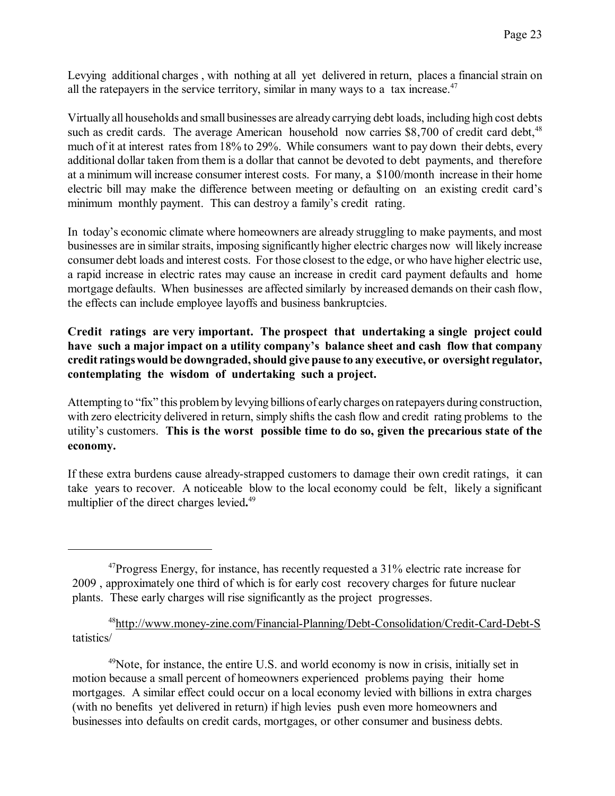Levying additional charges , with nothing at all yet delivered in return, places a financial strain on all the ratepayers in the service territory, similar in many ways to a tax increase. $47$ 

Virtually all households and small businesses are already carrying debt loads, including high cost debts such as credit cards. The average American household now carries  $$8,700$  of credit card debt,<sup>48</sup> much of it at interest rates from 18% to 29%. While consumers want to pay down their debts, every additional dollar taken from them is a dollar that cannot be devoted to debt payments, and therefore at a minimum will increase consumer interest costs. For many, a \$100/month increase in their home electric bill may make the difference between meeting or defaulting on an existing credit card's minimum monthly payment. This can destroy a family's credit rating.

In today's economic climate where homeowners are already struggling to make payments, and most businesses are in similar straits, imposing significantly higher electric charges now will likely increase consumer debt loads and interest costs. For those closest to the edge, or who have higher electric use, a rapid increase in electric rates may cause an increase in credit card payment defaults and home mortgage defaults. When businesses are affected similarly by increased demands on their cash flow, the effects can include employee layoffs and business bankruptcies.

### **Credit ratings are very important. The prospect that undertaking a single project could have such a major impact on a utility company's balance sheet and cash flow that company credit ratingswould be downgraded,should give pause to any executive, or oversight regulator, contemplating the wisdom of undertaking such a project.**

Attempting to "fix" this problemby levying billions of earlycharges on ratepayers during construction, with zero electricity delivered in return, simply shifts the cash flow and credit rating problems to the utility's customers. **This is the worst possible time to do so, given the precarious state of the economy.**

If these extra burdens cause already-strapped customers to damage their own credit ratings, it can take years to recover. A noticeable blow to the local economy could be felt, likely a significant multiplier of the direct charges levied**.** 49

<sup>49</sup>Note, for instance, the entire U.S. and world economy is now in crisis, initially set in motion because a small percent of homeowners experienced problems paying their home mortgages. A similar effect could occur on a local economy levied with billions in extra charges (with no benefits yet delivered in return) if high levies push even more homeowners and businesses into defaults on credit cards, mortgages, or other consumer and business debts.

<sup>&</sup>lt;sup>47</sup>Progress Energy, for instance, has recently requested a 31% electric rate increase for 2009 , approximately one third of which is for early cost recovery charges for future nuclear plants. These early charges will rise significantly as the project progresses.

<sup>&</sup>lt;sup>48</sup><http://www.money-zine.com/Financial-Planning/Debt-Consolidation/Credit-Card-Debt-S> tatistics/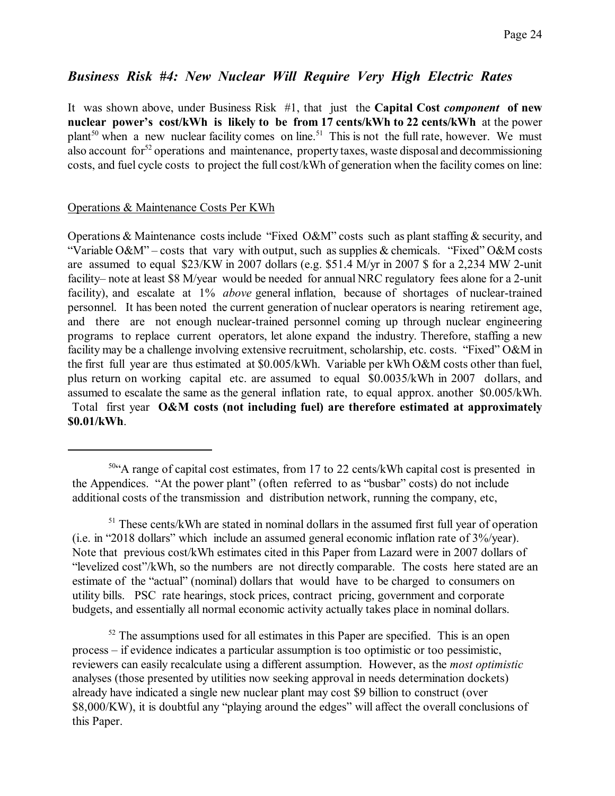## *Business Risk #4: New Nuclear Will Require Very High Electric Rates*

It was shown above, under Business Risk #1, that just the **Capital Cost** *component* **of new nuclear power's cost/kWh is likely to be from 17 cents/kWh to 22 cents/kWh** at the power plant<sup>50</sup> when a new nuclear facility comes on line.<sup>51</sup> This is not the full rate, however. We must also account for<sup>52</sup> operations and maintenance, property taxes, waste disposal and decommissioning costs, and fuel cycle costs to project the full cost/kWh of generation when the facility comes on line:

#### Operations & Maintenance Costs Per KWh

Operations & Maintenance costs include "Fixed O&M" costs such as plant staffing & security, and "Variable O&M" – costs that vary with output, such as supplies & chemicals. "Fixed" O&M costs are assumed to equal \$23/KW in 2007 dollars (e.g. \$51.4 M/yr in 2007 \$ for a 2,234 MW 2-unit facility– note at least \$8 M/year would be needed for annual NRC regulatory fees alone for a 2-unit facility), and escalate at 1% *above* general inflation, because of shortages of nuclear-trained personnel. It has been noted the current generation of nuclear operators is nearing retirement age, and there are not enough nuclear-trained personnel coming up through nuclear engineering programs to replace current operators, let alone expand the industry. Therefore, staffing a new facility may be a challenge involving extensive recruitment, scholarship, etc. costs. "Fixed" O&M in the first full year are thus estimated at \$0.005/kWh. Variable per kWh O&M costs other than fuel, plus return on working capital etc. are assumed to equal \$0.0035/kWh in 2007 dollars, and assumed to escalate the same as the general inflation rate, to equal approx. another \$0.005/kWh. Total first year **O&M costs (not including fuel) are therefore estimated at approximately \$0.01/kWh**.

<sup>50</sup> "A range of capital cost estimates, from 17 to 22 cents/kWh capital cost is presented in the Appendices. "At the power plant" (often referred to as "busbar" costs) do not include additional costs of the transmission and distribution network, running the company, etc,

<sup>&</sup>lt;sup>51</sup> These cents/kWh are stated in nominal dollars in the assumed first full year of operation (i.e. in "2018 dollars" which include an assumed general economic inflation rate of 3%/year). Note that previous cost/kWh estimates cited in this Paper from Lazard were in 2007 dollars of "levelized cost"/kWh, so the numbers are not directly comparable. The costs here stated are an estimate of the "actual" (nominal) dollars that would have to be charged to consumers on utility bills. PSC rate hearings, stock prices, contract pricing, government and corporate budgets, and essentially all normal economic activity actually takes place in nominal dollars.

 $52$  The assumptions used for all estimates in this Paper are specified. This is an open process – if evidence indicates a particular assumption is too optimistic or too pessimistic, reviewers can easily recalculate using a different assumption. However, as the *most optimistic* analyses (those presented by utilities now seeking approval in needs determination dockets) already have indicated a single new nuclear plant may cost \$9 billion to construct (over \$8,000/KW), it is doubtful any "playing around the edges" will affect the overall conclusions of this Paper.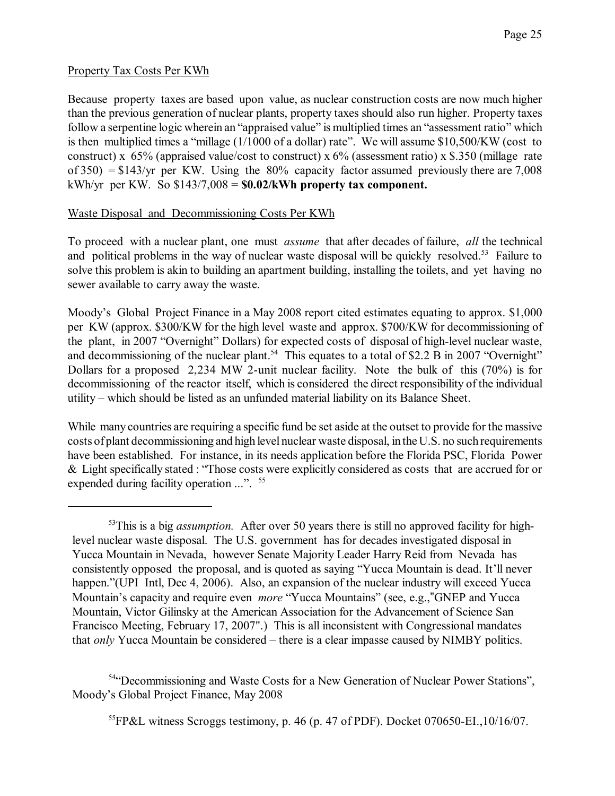#### Property Tax Costs Per KWh

Because property taxes are based upon value, as nuclear construction costs are now much higher than the previous generation of nuclear plants, property taxes should also run higher. Property taxes follow a serpentine logic wherein an "appraised value" is multiplied times an "assessment ratio" which is then multiplied times a "millage (1/1000 of a dollar) rate". We will assume \$10,500/KW (cost to construct) x  $65\%$  (appraised value/cost to construct) x  $6\%$  (assessment ratio) x \$.350 (millage rate of  $350$ ) = \$143/yr per KW. Using the  $80\%$  capacity factor assumed previously there are 7,008 kWh/yr per KW. So \$143/7,008 = **\$0.02/kWh property tax component.**

### Waste Disposal and Decommissioning Costs Per KWh

To proceed with a nuclear plant, one must *assume* that after decades of failure, *all* the technical and political problems in the way of nuclear waste disposal will be quickly resolved.<sup>53</sup> Failure to solve this problem is akin to building an apartment building, installing the toilets, and yet having no sewer available to carry away the waste.

Moody's Global Project Finance in a May 2008 report cited estimates equating to approx. \$1,000 per KW (approx. \$300/KW for the high level waste and approx. \$700/KW for decommissioning of the plant, in 2007 "Overnight" Dollars) for expected costs of disposal of high-level nuclear waste, and decommissioning of the nuclear plant.<sup>54</sup> This equates to a total of \$2.2 B in 2007 "Overnight" Dollars for a proposed 2,234 MW 2-unit nuclear facility. Note the bulk of this (70%) is for decommissioning of the reactor itself, which is considered the direct responsibility of the individual utility – which should be listed as an unfunded material liability on its Balance Sheet.

While many countries are requiring a specific fund be set aside at the outset to provide for the massive costs of plant decommissioning and high level nuclear waste disposal, in the U.S. no such requirements have been established. For instance, in its needs application before the Florida PSC, Florida Power & Light specifically stated : "Those costs were explicitly considered as costs that are accrued for or expended during facility operation ...". <sup>55</sup>

54 "Decommissioning and Waste Costs for a New Generation of Nuclear Power Stations", Moody's Global Project Finance, May 2008

<sup>55</sup>FP&L witness Scroggs testimony, p. 46 (p. 47 of PDF). Docket 070650-EI,  $10/16/07$ .

<sup>53</sup>This is a big *assumption.* After over 50 years there is still no approved facility for highlevel nuclear waste disposal. The U.S. government has for decades investigated disposal in Yucca Mountain in Nevada, however Senate Majority Leader Harry Reid from Nevada has consistently opposed the proposal, and is quoted as saying "Yucca Mountain is dead. It'll never happen."(UPI Intl, Dec 4, 2006). Also, an expansion of the nuclear industry will exceed Yucca Mountain's capacity and require even *more* "Yucca Mountains" (see, e.g.,"GNEP and Yucca Mountain, Victor Gilinsky at the American Association for the Advancement of Science San Francisco Meeting, February 17, 2007".) This is all inconsistent with Congressional mandates that *only* Yucca Mountain be considered – there is a clear impasse caused by NIMBY politics.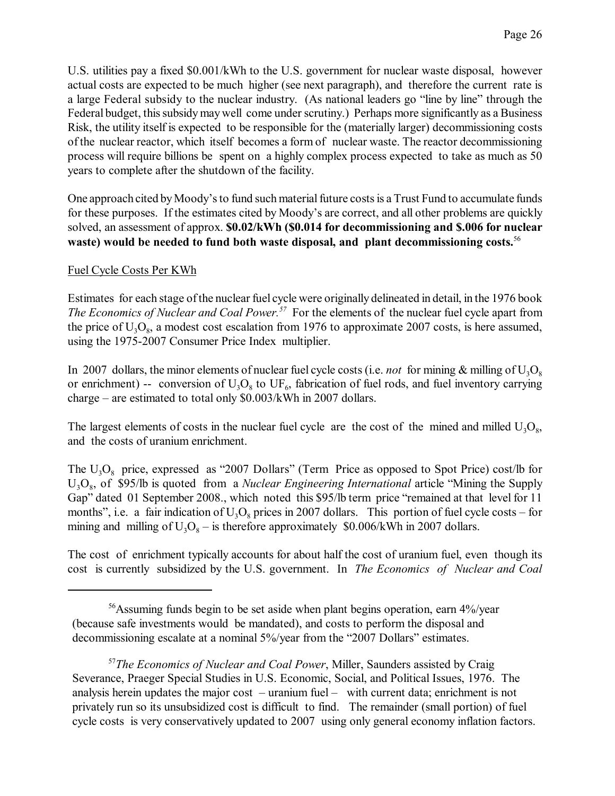U.S. utilities pay a fixed \$0.001/kWh to the U.S. government for nuclear waste disposal, however actual costs are expected to be much higher (see next paragraph), and therefore the current rate is a large Federal subsidy to the nuclear industry. (As national leaders go "line by line" through the Federal budget, thissubsidymaywell come under scrutiny.) Perhaps more significantly as a Business Risk, the utility itself is expected to be responsible for the (materially larger) decommissioning costs of the nuclear reactor, which itself becomes a form of nuclear waste. The reactor decommissioning process will require billions be spent on a highly complex process expected to take as much as 50 years to complete after the shutdown of the facility.

One approach cited by Moody's to fund such material future costs is a Trust Fund to accumulate funds for these purposes. If the estimates cited by Moody's are correct, and all other problems are quickly solved, an assessment of approx. **\$0.02/kWh (\$0.014 for decommissioning and \$.006 for nuclear waste) would be needed to fund both waste disposal, and plant decommissioning costs.**<sup>56</sup>

### Fuel Cycle Costs Per KWh

Estimates for each stage ofthe nuclear fuel cycle were originally delineated in detail, in the 1976 book *The Economics of Nuclear and Coal Power.<sup>57</sup>* For the elements of the nuclear fuel cycle apart from the price of  $U_3O_8$ , a modest cost escalation from 1976 to approximate 2007 costs, is here assumed, using the 1975-2007 Consumer Price Index multiplier.

In 2007 dollars, the minor elements of nuclear fuel cycle costs (i.e. *not* for mining  $\&$  milling of  $U_3O_8$ or enrichment) -- conversion of  $U_3O_8$  to  $UF_6$ , fabrication of fuel rods, and fuel inventory carrying charge – are estimated to total only \$0.003/kWh in 2007 dollars.

The largest elements of costs in the nuclear fuel cycle are the cost of the mined and milled  $U_3O_8$ , and the costs of uranium enrichment.

The  $U_3O_8$  price, expressed as "2007 Dollars" (Term Price as opposed to Spot Price) cost/lb for U<sub>3</sub>O<sub>8</sub>, of \$95/lb is quoted from a *Nuclear Engineering International* article "Mining the Supply Gap" dated 01 September 2008., which noted this \$95/lb term price "remained at that level for 11 months", i.e. a fair indication of  $U_3O_8$  prices in 2007 dollars. This portion of fuel cycle costs – for mining and milling of  $U_3O_8$  – is therefore approximately \$0.006/kWh in 2007 dollars.

The cost of enrichment typically accounts for about half the cost of uranium fuel, even though its cost is currently subsidized by the U.S. government. In *The Economics of Nuclear and Coal*

<sup>&</sup>lt;sup>56</sup>Assuming funds begin to be set aside when plant begins operation, earn 4%/year (because safe investments would be mandated), and costs to perform the disposal and decommissioning escalate at a nominal 5%/year from the "2007 Dollars" estimates.

<sup>57</sup>*The Economics of Nuclear and Coal Power*, Miller, Saunders assisted by Craig Severance, Praeger Special Studies in U.S. Economic, Social, and Political Issues, 1976. The analysis herein updates the major cost – uranium fuel – with current data; enrichment is not privately run so its unsubsidized cost is difficult to find. The remainder (small portion) of fuel cycle costs is very conservatively updated to 2007 using only general economy inflation factors.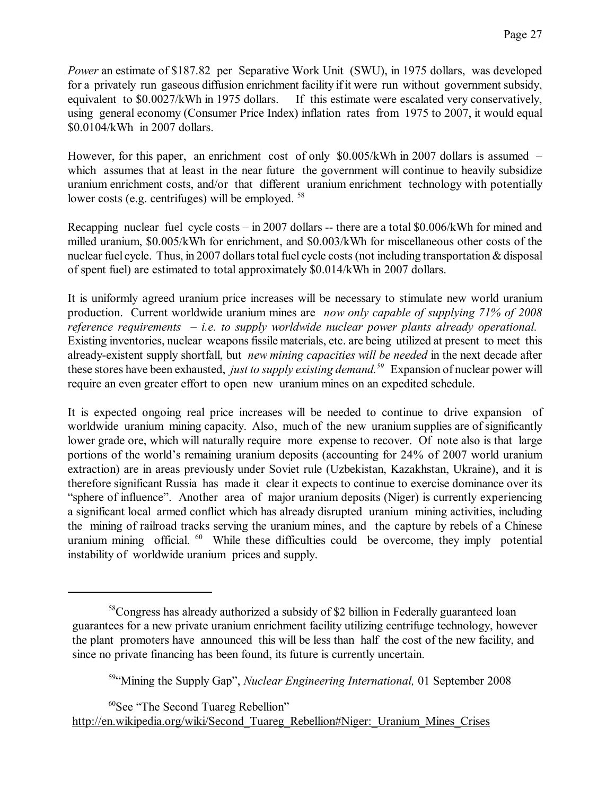*Power* an estimate of \$187.82 per Separative Work Unit (SWU), in 1975 dollars, was developed for a privately run gaseous diffusion enrichment facility if it were run without government subsidy, equivalent to \$0.0027/kWh in 1975 dollars. If this estimate were escalated very conservatively, using general economy (Consumer Price Index) inflation rates from 1975 to 2007, it would equal \$0.0104/kWh in 2007 dollars.

However, for this paper, an enrichment cost of only \$0.005/kWh in 2007 dollars is assumed – which assumes that at least in the near future the government will continue to heavily subsidize uranium enrichment costs, and/or that different uranium enrichment technology with potentially lower costs (e.g. centrifuges) will be employed. <sup>58</sup>

Recapping nuclear fuel cycle costs – in 2007 dollars -- there are a total \$0.006/kWh for mined and milled uranium, \$0.005/kWh for enrichment, and \$0.003/kWh for miscellaneous other costs of the nuclear fuel cycle. Thus, in 2007 dollars total fuel cycle costs (not including transportation & disposal of spent fuel) are estimated to total approximately \$0.014/kWh in 2007 dollars.

It is uniformly agreed uranium price increases will be necessary to stimulate new world uranium production. Current worldwide uranium mines are *now only capable of supplying 71% of 2008 reference requirements – i.e. to supply worldwide nuclear power plants already operational.*  Existing inventories, nuclear weaponsfissile materials, etc. are being utilized at present to meet this already-existent supply shortfall, but *new mining capacities will be needed* in the next decade after these stores have been exhausted, *just to supply existing demand.<sup>59</sup>* Expansion of nuclear power will require an even greater effort to open new uranium mines on an expedited schedule.

It is expected ongoing real price increases will be needed to continue to drive expansion of worldwide uranium mining capacity. Also, much of the new uranium supplies are of significantly lower grade ore, which will naturally require more expense to recover. Of note also is that large portions of the world's remaining uranium deposits (accounting for 24% of 2007 world uranium extraction) are in areas previously under Soviet rule (Uzbekistan, Kazakhstan, Ukraine), and it is therefore significant Russia has made it clear it expects to continue to exercise dominance over its "sphere of influence". Another area of major uranium deposits (Niger) is currently experiencing a significant local armed conflict which has already disrupted uranium mining activities, including the mining of railroad tracks serving the uranium mines, and the capture by rebels of a Chinese uranium mining official. <sup>60</sup> While these difficulties could be overcome, they imply potential instability of worldwide uranium prices and supply.

<sup>60</sup>See "The Second Tuareg Rebellion"

[http://en.wikipedia.org/wiki/Second\\_Tuareg\\_Rebellion#Niger:\\_Uranium\\_Mines\\_Crises](http://en.wikipedia.org/wiki/Second_Tuareg_Rebellion#Niger:_Uranium_Mines_Crises)

<sup>58</sup>Congress has already authorized a subsidy of \$2 billion in Federally guaranteed loan guarantees for a new private uranium enrichment facility utilizing centrifuge technology, however the plant promoters have announced this will be less than half the cost of the new facility, and since no private financing has been found, its future is currently uncertain.

<sup>59</sup> "Mining the Supply Gap", *Nuclear Engineering International,* 01 September 2008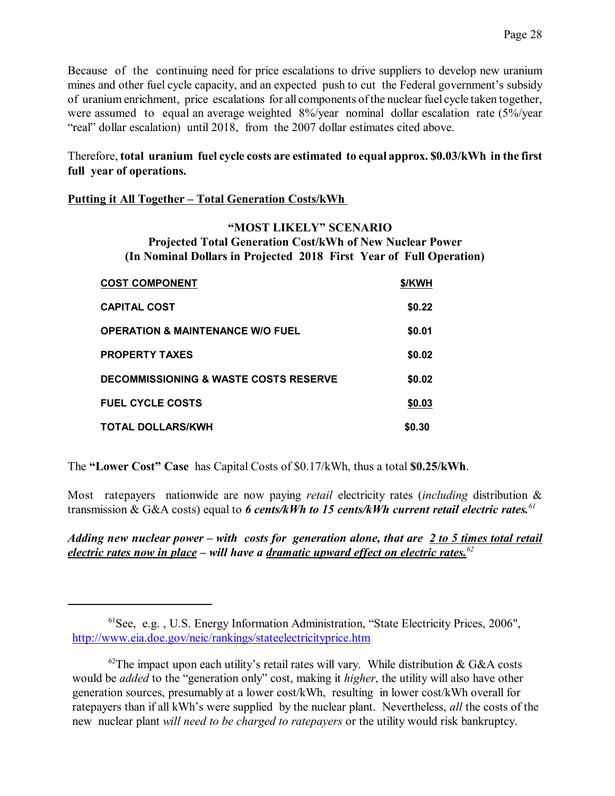Because of the continuing need for price escalations to drive suppliers to develop new uranium mines and other fuel cycle capacity, and an expected push to cut the Federal government's subsidy of uranium enrichment, price escalations for all components ofthe nuclear fuel cycle taken together, were assumed to equal an average weighted 8%/year nominal dollar escalation rate (5%/year "real" dollar escalation) until 2018, from the 2007 dollar estimates cited above.

### Therefore, **total uranium fuel cycle costs are estimated to equal approx. \$0.03/kWh in the first full year of operations.**

#### **Putting it All Together – Total Generation Costs/kWh**

#### **"MOST LIKELY" SCENARIO Projected Total Generation Cost/kWh of New Nuclear Power (In Nominal Dollars in Projected 2018 First Year of Full Operation)**

| <b>COST COMPONENT</b>                            | \$/KWH |
|--------------------------------------------------|--------|
| <b>CAPITAL COST</b>                              | \$0.22 |
| <b>OPERATION &amp; MAINTENANCE W/O FUEL</b>      | \$0.01 |
| <b>PROPERTY TAXES</b>                            | \$0.02 |
| <b>DECOMMISSIONING &amp; WASTE COSTS RESERVE</b> | \$0.02 |
| <b>FUEL CYCLE COSTS</b>                          | \$0.03 |
| <b>TOTAL DOLLARS/KWH</b>                         | \$0.30 |

The **"Lower Cost" Case** has Capital Costs of \$0.17/kWh, thus a total **\$0.25/kWh**.

Most ratepayers nationwide are now paying *retail* electricity rates (*including* distribution & transmission & G&A costs) equal to *6 cents/kWh to 15 cents/kWh current retail electric rates.<sup>61</sup>*

*Adding new nuclear power – with costs for generation alone, that are 2 to 5 times total retail electric rates now in place – will have a dramatic upward effect on electric rates.<sup>62</sup>*

<sup>&</sup>lt;sup>61</sup>See, e.g., U.S. Energy Information Administration, "State Electricity Prices, 2006", <http://www.eia.doe.gov/neic/rankings/stateelectricityprice.htm>

 $62$ The impact upon each utility's retail rates will vary. While distribution & G&A costs would be *added* to the "generation only" cost, making it *higher*, the utility will also have other generation sources, presumably at a lower cost/kWh, resulting in lower cost/kWh overall for ratepayers than if all kWh's were supplied by the nuclear plant. Nevertheless, *all* the costs of the new nuclear plant *will need to be charged to ratepayers* or the utility would risk bankruptcy.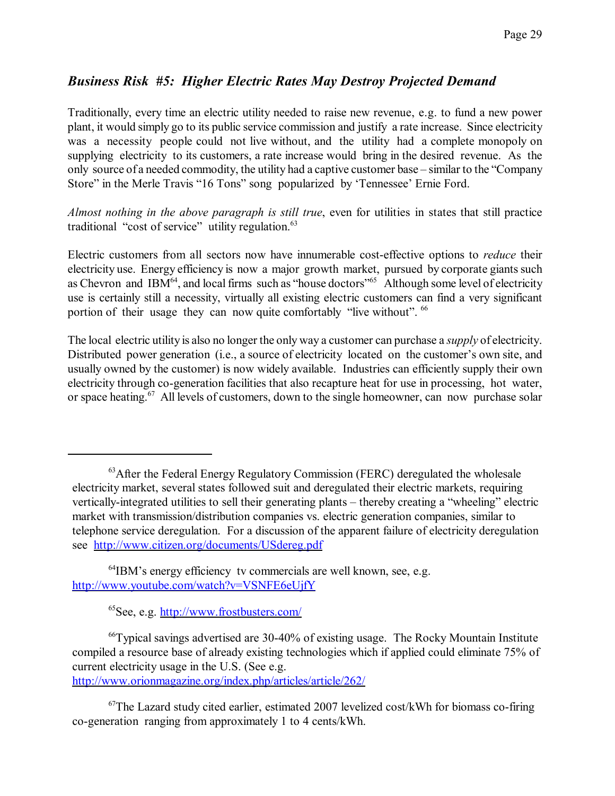## *Business Risk #5: Higher Electric Rates May Destroy Projected Demand*

Traditionally, every time an electric utility needed to raise new revenue, e.g. to fund a new power plant, it would simply go to its public service commission and justify a rate increase. Since electricity was a necessity people could not live without, and the utility had a complete monopoly on supplying electricity to its customers, a rate increase would bring in the desired revenue. As the only source of a needed commodity, the utility had a captive customer base – similar to the "Company Store" in the Merle Travis "16 Tons" song popularized by 'Tennessee' Ernie Ford.

*Almost nothing in the above paragraph is still true*, even for utilities in states that still practice traditional "cost of service" utility regulation.<sup>63</sup>

Electric customers from all sectors now have innumerable cost-effective options to *reduce* their electricity use. Energy efficiency is now a major growth market, pursued by corporate giants such as Chevron and IBM $^{64}$ , and local firms such as "house doctors"<sup>65</sup> Although some level of electricity use is certainly still a necessity, virtually all existing electric customers can find a very significant portion of their usage they can now quite comfortably "live without". <sup>66</sup>

The local electric utility is also no longer the only way a customer can purchase a *supply* of electricity. Distributed power generation (i.e., a source of electricity located on the customer's own site, and usually owned by the customer) is now widely available. Industries can efficiently supply their own electricity through co-generation facilities that also recapture heat for use in processing, hot water, or space heating.<sup>67</sup> All levels of customers, down to the single homeowner, can now purchase solar

<sup>65</sup>See, e.g.<http://www.frostbusters.com/>

<http://www.orionmagazine.org/index.php/articles/article/262/>

 $67$ The Lazard study cited earlier, estimated 2007 levelized cost/kWh for biomass co-firing co-generation ranging from approximately 1 to 4 cents/kWh.

 $63$ After the Federal Energy Regulatory Commission (FERC) deregulated the wholesale electricity market, several states followed suit and deregulated their electric markets, requiring vertically-integrated utilities to sell their generating plants – thereby creating a "wheeling" electric market with transmission/distribution companies vs. electric generation companies, similar to telephone service deregulation. For a discussion of the apparent failure of electricity deregulation see <http://www.citizen.org/documents/USdereg.pdf>

<sup>64</sup>IBM's energy efficiency tv commercials are well known, see, e.g. <http://www.youtube.com/watch?v=VSNFE6eUjfY>

<sup>66</sup>Typical savings advertised are 30-40% of existing usage. The Rocky Mountain Institute compiled a resource base of already existing technologies which if applied could eliminate 75% of current electricity usage in the U.S. (See e.g.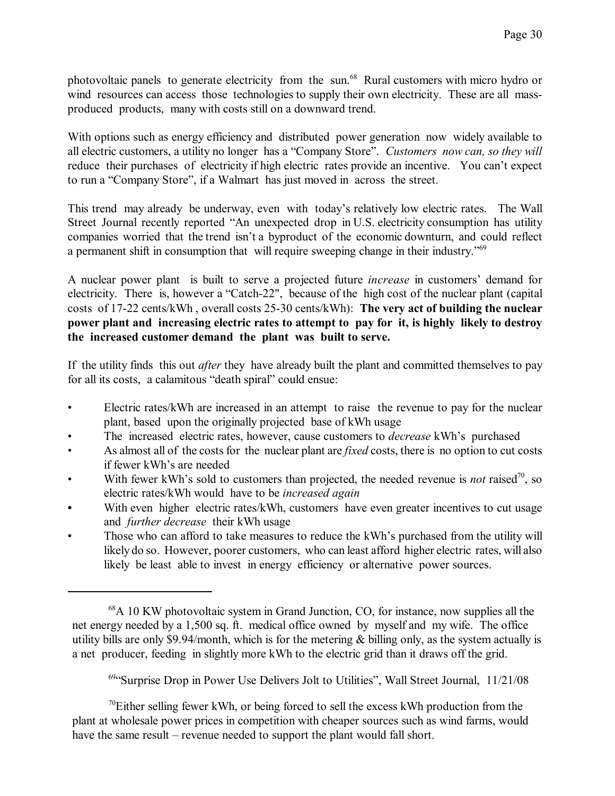photovoltaic panels to generate electricity from the sun.<sup>68</sup> Rural customers with micro hydro or wind resources can access those technologies to supply their own electricity. These are all massproduced products, many with costs still on a downward trend.

With options such as energy efficiency and distributed power generation now widely available to all electric customers, a utility no longer has a "Company Store". *Customers now can, so they will* reduce their purchases of electricity if high electric rates provide an incentive. You can't expect to run a "Company Store", if a Walmart has just moved in across the street.

This trend may already be underway, even with today's relatively low electric rates. The Wall Street Journal recently reported "An unexpected drop in U.S. electricity consumption has utility companies worried that the trend isn't a byproduct of the economic downturn, and could reflect a permanent shift in consumption that will require sweeping change in their industry.<sup>769</sup>

A nuclear power plant is built to serve a projected future *increase* in customers' demand for electricity. There is, however a "Catch-22", because of the high cost of the nuclear plant (capital costs of 17-22 cents/kWh , overall costs 25-30 cents/kWh): **The very act of building the nuclear power plant and increasing electric rates to attempt to pay for it, is highly likely to destroy the increased customer demand the plant was built to serve.** 

If the utility finds this out *after* they have already built the plant and committed themselves to pay for all its costs, a calamitous "death spiral" could ensue:

- Electric rates/kWh are increased in an attempt to raise the revenue to pay for the nuclear plant, based upon the originally projected base of kWh usage
- The increased electric rates, however, cause customers to *decrease* kWh's purchased
- As almost all of the costs for the nuclear plant are *fixed* costs, there is no option to cut costs if fewer kWh's are needed
- With fewer kWh's sold to customers than projected, the needed revenue is *not* raised<sup>70</sup>, so electric rates/kWh would have to be *increased again*
- With even higher electric rates/kWh, customers have even greater incentives to cut usage and *further decrease* their kWh usage
- Those who can afford to take measures to reduce the kWh's purchased from the utility will likely do so. However, poorer customers, who can least afford higher electric rates, will also likely be least able to invest in energy efficiency or alternative power sources.

<sup>69</sup>"Surprise Drop in Power Use Delivers Jolt to Utilities", Wall Street Journal, 11/21/08

 $70$ Either selling fewer kWh, or being forced to sell the excess kWh production from the plant at wholesale power prices in competition with cheaper sources such as wind farms, would have the same result – revenue needed to support the plant would fall short.

 $68A$  10 KW photovoltaic system in Grand Junction, CO, for instance, now supplies all the net energy needed by a 1,500 sq. ft. medical office owned by myself and my wife. The office utility bills are only \$9.94/month, which is for the metering & billing only, as the system actually is a net producer, feeding in slightly more kWh to the electric grid than it draws off the grid.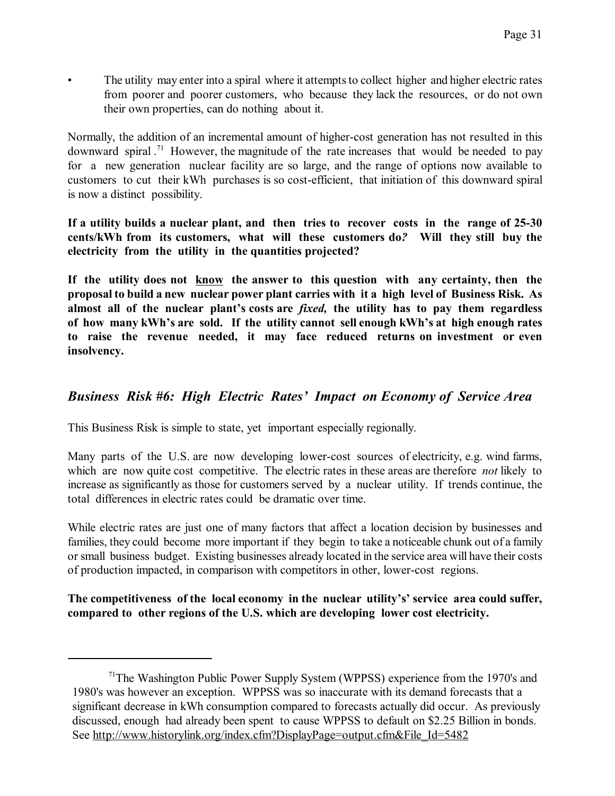• The utility may enter into a spiral where it attempts to collect higher and higher electric rates from poorer and poorer customers, who because they lack the resources, or do not own their own properties, can do nothing about it.

Normally, the addition of an incremental amount of higher-cost generation has not resulted in this downward spiral.<sup>71</sup> However, the magnitude of the rate increases that would be needed to pay for a new generation nuclear facility are so large, and the range of options now available to customers to cut their kWh purchases is so cost-efficient, that initiation of this downward spiral is now a distinct possibility.

**If a utility builds a nuclear plant, and then tries to recover costs in the range of 25-30 cents/kWh from its customers, what will these customers do***?* **Will they still buy the electricity from the utility in the quantities projected?** 

**If the utility does not know the answer to this question with any certainty, then the proposal to build a new nuclear power plant carries with it a high level of Business Risk. As almost all of the nuclear plant's costs are** *fixed,* **the utility has to pay them regardless of how many kWh's are sold. If the utility cannot sell enough kWh's at high enough rates to raise the revenue needed, it may face reduced returns on investment or even insolvency.** 

## *Business Risk #6: High Electric Rates' Impact on Economy of Service Area*

This Business Risk is simple to state, yet important especially regionally.

Many parts of the U.S. are now developing lower-cost sources of electricity, e.g. wind farms, which are now quite cost competitive. The electric rates in these areas are therefore *not* likely to increase as significantly as those for customers served by a nuclear utility. If trends continue, the total differences in electric rates could be dramatic over time.

While electric rates are just one of many factors that affect a location decision by businesses and families, they could become more important if they begin to take a noticeable chunk out of a family or small business budget. Existing businesses already located in the service area will have their costs of production impacted, in comparison with competitors in other, lower-cost regions.

**The competitiveness of the local economy in the nuclear utility's' service area could suffer, compared to other regions of the U.S. which are developing lower cost electricity.** 

<sup>&</sup>lt;sup>71</sup>The Washington Public Power Supply System (WPPSS) experience from the 1970's and 1980's was however an exception. WPPSS was so inaccurate with its demand forecasts that a significant decrease in kWh consumption compared to forecasts actually did occur. As previously discussed, enough had already been spent to cause WPPSS to default on \$2.25 Billion in bonds. See [http://www.historylink.org/index.cfm?DisplayPage=output.cfm&File\\_Id=5482](http://www.historylink.org/index.cfm?DisplayPage=output.cfm&File_Id=5482)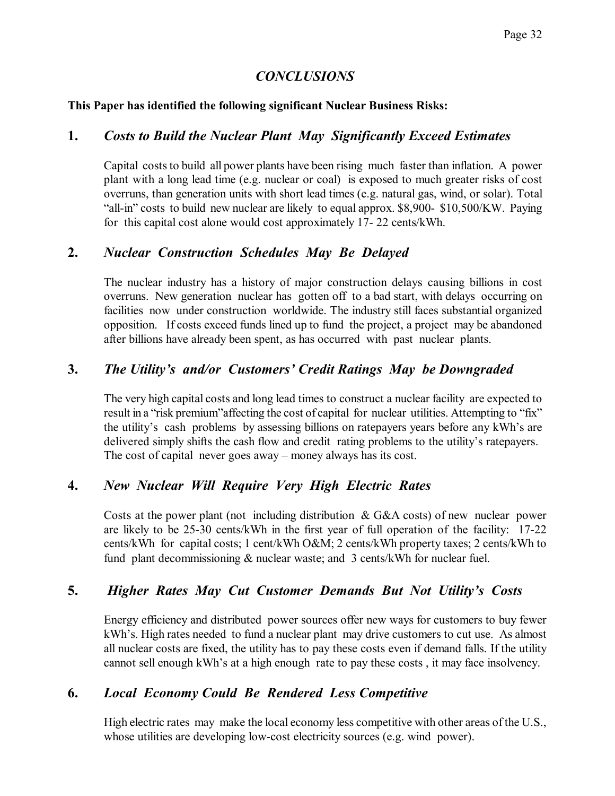## *CONCLUSIONS*

### **This Paper has identified the following significant Nuclear Business Risks:**

### **1.** *Costs to Build the Nuclear Plant May Significantly Exceed Estimates*

Capital costs to build all power plants have been rising much faster than inflation. A power plant with a long lead time (e.g. nuclear or coal) is exposed to much greater risks of cost overruns, than generation units with short lead times (e.g. natural gas, wind, or solar). Total "all-in" costs to build new nuclear are likely to equal approx. \$8,900- \$10,500/KW. Paying for this capital cost alone would cost approximately 17- 22 cents/kWh.

### **2.** *Nuclear Construction Schedules May Be Delayed*

The nuclear industry has a history of major construction delays causing billions in cost overruns. New generation nuclear has gotten off to a bad start, with delays occurring on facilities now under construction worldwide. The industry still faces substantial organized opposition. If costs exceed funds lined up to fund the project, a project may be abandoned after billions have already been spent, as has occurred with past nuclear plants.

## **3.** *The Utility's and/or Customers' Credit Ratings May be Downgraded*

The very high capital costs and long lead times to construct a nuclear facility are expected to result in a "risk premium"affecting the cost of capital for nuclear utilities. Attempting to "fix" the utility's cash problems by assessing billions on ratepayers years before any kWh's are delivered simply shifts the cash flow and credit rating problems to the utility's ratepayers. The cost of capital never goes away – money always has its cost.

### **4.** *New Nuclear Will Require Very High Electric Rates*

Costs at the power plant (not including distribution & G&A costs) of new nuclear power are likely to be 25-30 cents/kWh in the first year of full operation of the facility: 17-22 cents/kWh for capital costs; 1 cent/kWh O&M; 2 cents/kWh property taxes; 2 cents/kWh to fund plant decommissioning & nuclear waste; and 3 cents/kWh for nuclear fuel.

## **5.** *Higher Rates May Cut Customer Demands But Not Utility's Costs*

Energy efficiency and distributed power sources offer new ways for customers to buy fewer kWh's. High rates needed to fund a nuclear plant may drive customers to cut use. As almost all nuclear costs are fixed, the utility has to pay these costs even if demand falls. If the utility cannot sell enough kWh's at a high enough rate to pay these costs , it may face insolvency.

## **6.** *Local Economy Could Be Rendered Less Competitive*

High electric rates may make the local economy less competitive with other areas of the U.S., whose utilities are developing low-cost electricity sources (e.g. wind power).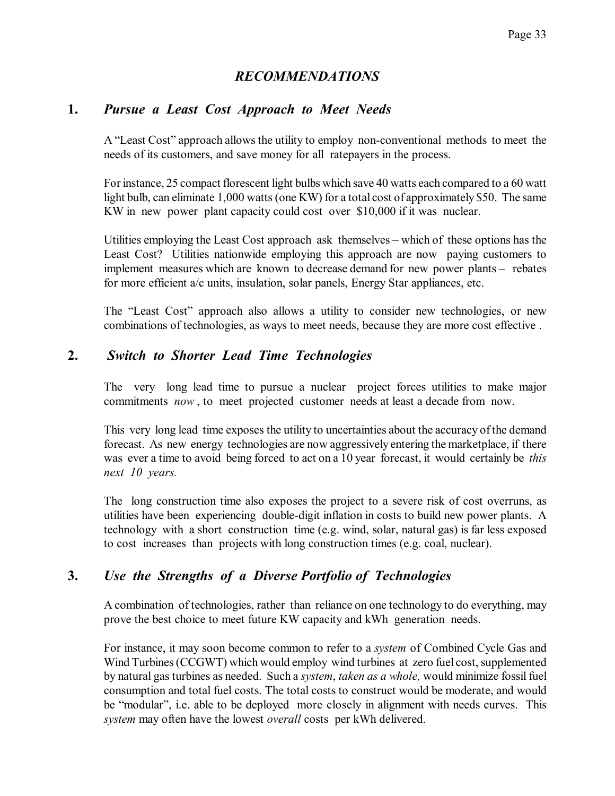## *RECOMMENDATIONS*

### **1.** *Pursue a Least Cost Approach to Meet Needs*

A "Least Cost" approach allowsthe utility to employ non-conventional methods to meet the needs of its customers, and save money for all ratepayers in the process.

For instance, 25 compact florescent light bulbs which save 40 watts each compared to a 60 watt light bulb, can eliminate 1,000 watts(one KW) for a total cost of approximately \$50. The same KW in new power plant capacity could cost over \$10,000 if it was nuclear.

Utilities employing the Least Cost approach ask themselves – which of these options has the Least Cost? Utilities nationwide employing this approach are now paying customers to implement measures which are known to decrease demand for new power plants – rebates for more efficient a/c units, insulation, solar panels, Energy Star appliances, etc.

The "Least Cost" approach also allows a utility to consider new technologies, or new combinations of technologies, as ways to meet needs, because they are more cost effective .

## **2.** *Switch to Shorter Lead Time Technologies*

The very long lead time to pursue a nuclear project forces utilities to make major commitments *now* , to meet projected customer needs at least a decade from now.

This very long lead time exposes the utility to uncertainties about the accuracy of the demand forecast. As new energy technologies are now aggressively entering the marketplace, if there was ever a time to avoid being forced to act on a 10 year forecast, it would certainly be *this next 10 years.* 

The long construction time also exposes the project to a severe risk of cost overruns, as utilities have been experiencing double-digit inflation in costs to build new power plants. A technology with a short construction time (e.g. wind, solar, natural gas) is far less exposed to cost increases than projects with long construction times (e.g. coal, nuclear).

## **3.** *Use the Strengths of a Diverse Portfolio of Technologies*

A combination of technologies, rather than reliance on one technology to do everything, may prove the best choice to meet future KW capacity and kWh generation needs.

For instance, it may soon become common to refer to a *system* of Combined Cycle Gas and Wind Turbines (CCGWT) which would employ wind turbines at zero fuel cost, supplemented by natural gas turbines as needed. Such a *system*, *taken as a whole,* would minimize fossil fuel consumption and total fuel costs. The total costs to construct would be moderate, and would be "modular", i.e. able to be deployed more closely in alignment with needs curves. This *system* may often have the lowest *overall* costs per kWh delivered.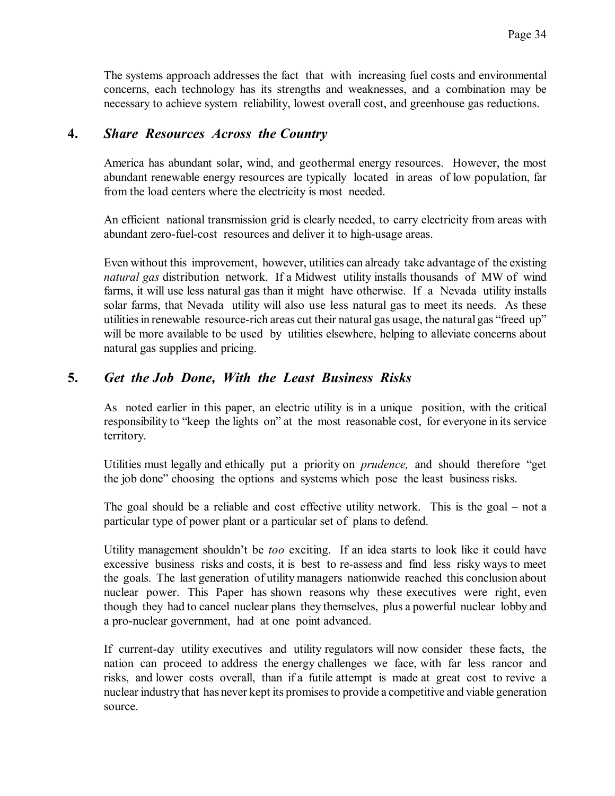The systems approach addresses the fact that with increasing fuel costs and environmental concerns, each technology has its strengths and weaknesses, and a combination may be necessary to achieve system reliability, lowest overall cost, and greenhouse gas reductions.

### **4.** *Share Resources Across the Country*

America has abundant solar, wind, and geothermal energy resources. However, the most abundant renewable energy resources are typically located in areas of low population, far from the load centers where the electricity is most needed.

An efficient national transmission grid is clearly needed, to carry electricity from areas with abundant zero-fuel-cost resources and deliver it to high-usage areas.

Even without this improvement, however, utilities can already take advantage of the existing *natural gas* distribution network. If a Midwest utility installs thousands of MW of wind farms, it will use less natural gas than it might have otherwise. If a Nevada utility installs solar farms, that Nevada utility will also use less natural gas to meet its needs. As these utilities in renewable resource-rich areas cut their natural gas usage, the natural gas "freed up" will be more available to be used by utilities elsewhere, helping to alleviate concerns about natural gas supplies and pricing.

## **5.** *Get the Job Done, With the Least Business Risks*

As noted earlier in this paper, an electric utility is in a unique position, with the critical responsibility to "keep the lights on" at the most reasonable cost, for everyone in its service territory.

Utilities must legally and ethically put a priority on *prudence,* and should therefore "get the job done" choosing the options and systems which pose the least business risks.

The goal should be a reliable and cost effective utility network. This is the goal – not a particular type of power plant or a particular set of plans to defend.

Utility management shouldn't be *too* exciting. If an idea starts to look like it could have excessive business risks and costs, it is best to re-assess and find less risky ways to meet the goals. The last generation of utility managers nationwide reached this conclusion about nuclear power. This Paper has shown reasons why these executives were right, even though they had to cancel nuclear plans they themselves, plus a powerful nuclear lobby and a pro-nuclear government, had at one point advanced.

If current-day utility executives and utility regulators will now consider these facts, the nation can proceed to address the energy challenges we face, with far less rancor and risks, and lower costs overall, than if a futile attempt is made at great cost to revive a nuclear industrythat has never kept its promisesto provide a competitive and viable generation source.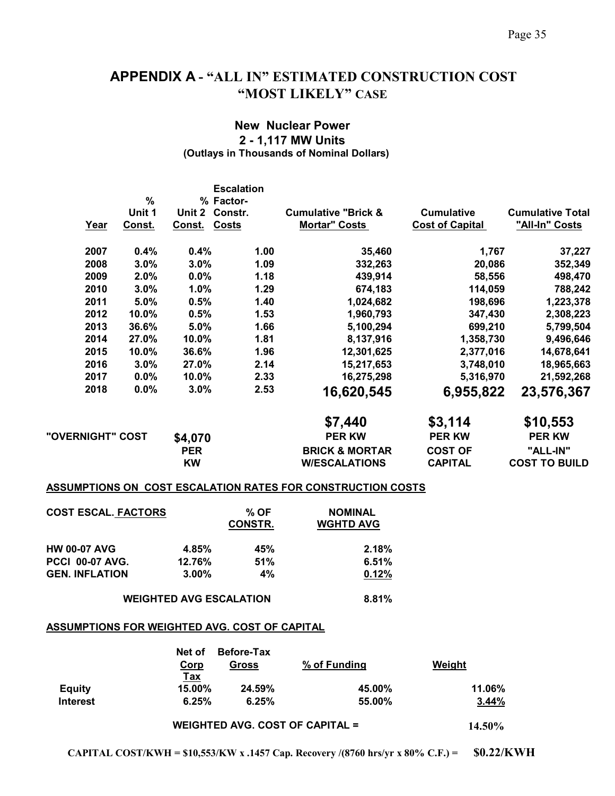# **APPENDIX A - "ALL IN" ESTIMATED CONSTRUCTION COST "MOST LIKELY" CASE**

### **New Nuclear Power 2 - 1,117 MW Units (Outlays in Thousands of Nominal Dollars)**

|                  |        |                        | <b>Escalation</b> |                                                                    |                        |                         |
|------------------|--------|------------------------|-------------------|--------------------------------------------------------------------|------------------------|-------------------------|
|                  | %      | % Factor-              |                   |                                                                    |                        |                         |
|                  | Unit 1 | Constr.<br>Unit 2      |                   | <b>Cumulative "Brick &amp;</b>                                     | <b>Cumulative</b>      | <b>Cumulative Total</b> |
| Year             | Const. | <b>Costs</b><br>Const. |                   | <b>Mortar" Costs</b>                                               | <b>Cost of Capital</b> | "All-In" Costs          |
| 2007             | 0.4%   | 0.4%                   | 1.00              | 35,460                                                             | 1,767                  | 37,227                  |
| 2008             | 3.0%   | 3.0%                   | 1.09              | 332,263                                                            | 20,086                 | 352,349                 |
| 2009             | 2.0%   | 0.0%                   | 1.18              | 439,914                                                            | 58,556                 | 498,470                 |
| 2010             | 3.0%   | 1.0%                   | 1.29              | 674,183                                                            | 114,059                | 788,242                 |
| 2011             | 5.0%   | 0.5%                   | 1.40              | 1,024,682                                                          | 198,696                | 1,223,378               |
| 2012             | 10.0%  | 0.5%                   | 1.53              | 1,960,793                                                          | 347,430                | 2,308,223               |
| 2013             | 36.6%  | 5.0%                   | 1.66              | 5,100,294                                                          | 699,210                | 5,799,504               |
| 2014             | 27.0%  | 10.0%                  | 1.81              | 8,137,916                                                          | 1,358,730              | 9,496,646               |
| 2015             | 10.0%  | 36.6%                  | 1.96              | 12,301,625                                                         | 2,377,016              | 14,678,641              |
| 2016             | 3.0%   | 27.0%                  | 2.14              | 15,217,653                                                         | 3,748,010              | 18,965,663              |
| 2017             | 0.0%   | 10.0%                  | 2.33              | 16,275,298                                                         | 5,316,970              | 21,592,268              |
| 2018             | 0.0%   | 3.0%                   | 2.53              | 16,620,545                                                         | 6,955,822              | 23,576,367              |
|                  |        |                        |                   | \$7,440                                                            | \$3,114                | \$10,553                |
| "OVERNIGHT" COST |        | \$4,070                |                   | <b>PER KW</b>                                                      | <b>PER KW</b>          | <b>PER KW</b>           |
|                  |        | <b>PER</b>             |                   | <b>BRICK &amp; MORTAR</b>                                          | <b>COST OF</b>         | "ALL-IN"                |
|                  |        | <b>KW</b>              |                   | <b>W/ESCALATIONS</b>                                               | <b>CAPITAL</b>         | <b>COST TO BUILD</b>    |
|                  |        |                        |                   | <b>ASSUMPTIONS ON COST ESCALATION RATES FOR CONSTRUCTION COSTS</b> |                        |                         |

| <b>COST ESCAL. FACTORS</b> |          | % OF<br><b>CONSTR.</b> | <b>NOMINAL</b><br><b>WGHTD AVG</b> |
|----------------------------|----------|------------------------|------------------------------------|
| <b>HW 00-07 AVG</b>        | 4.85%    | 45%                    | 2.18%                              |
| <b>PCCI 00-07 AVG.</b>     | 12.76%   | 51%                    | 6.51%                              |
| <b>GEN. INFLATION</b>      | $3.00\%$ | $4\%$                  | 0.12%                              |

**WEIGHTED AVG ESCALATION 8.81%**

#### **ASSUMPTIONS FOR WEIGHTED AVG. COST OF CAPITAL**

|                 | Net of<br>Corp<br><b>Tax</b> | <b>Before-Tax</b><br>Gross | % of Funding | Weight |
|-----------------|------------------------------|----------------------------|--------------|--------|
| <b>Equity</b>   | 15.00%                       | 24.59%                     | 45.00%       | 11.06% |
| <b>Interest</b> | 6.25%                        | 6.25%                      | 55.00%       | 3.44%  |

**WEIGHTED AVG. COST OF CAPITAL = 14.50%**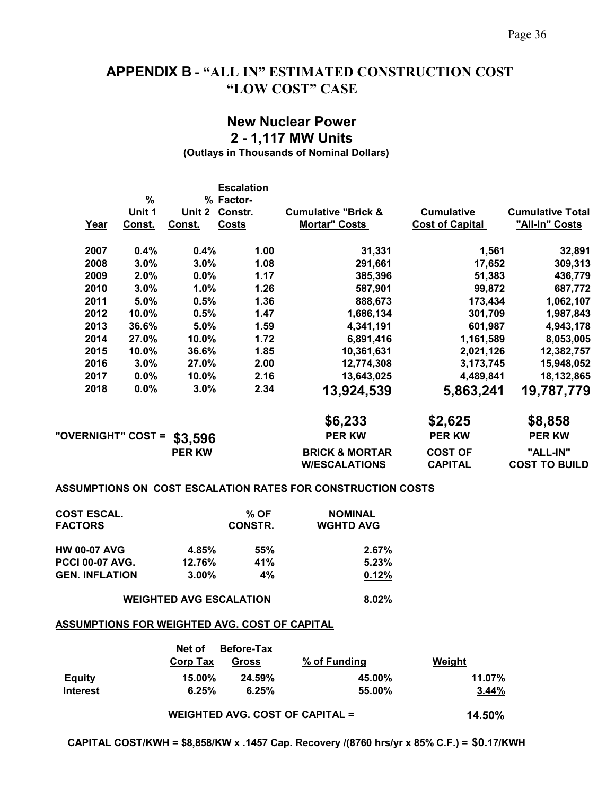# **APPENDIX B - "ALL IN" ESTIMATED CONSTRUCTION COST "LOW COST" CASE**

### **New Nuclear Power 2 - 1,117 MW Units**

**(Outlays in Thousands of Nominal Dollars)** 

|      |                    |               | <b>Escalation</b> |                                |                        |                         |
|------|--------------------|---------------|-------------------|--------------------------------|------------------------|-------------------------|
|      | %                  |               | % Factor-         |                                |                        |                         |
|      | Unit 1             | Unit 2        | Constr.           | <b>Cumulative "Brick &amp;</b> | <b>Cumulative</b>      | <b>Cumulative Total</b> |
| Year | Const.             | Const.        | <b>Costs</b>      | <b>Mortar" Costs</b>           | <b>Cost of Capital</b> | "All-In" Costs          |
| 2007 | 0.4%               | 0.4%          | 1.00              | 31,331                         | 1,561                  | 32,891                  |
| 2008 | 3.0%               | 3.0%          | 1.08              | 291,661                        | 17,652                 | 309,313                 |
| 2009 | 2.0%               | 0.0%          | 1.17              | 385,396                        | 51,383                 | 436,779                 |
| 2010 | 3.0%               | 1.0%          | 1.26              | 587,901                        | 99,872                 | 687,772                 |
| 2011 | 5.0%               | 0.5%          | 1.36              | 888,673                        | 173,434                | 1,062,107               |
| 2012 | 10.0%              | 0.5%          | 1.47              | 1,686,134                      | 301,709                | 1,987,843               |
| 2013 | 36.6%              | 5.0%          | 1.59              | 4,341,191                      | 601,987                | 4,943,178               |
| 2014 | 27.0%              | 10.0%         | 1.72              | 6,891,416                      | 1,161,589              | 8,053,005               |
| 2015 | 10.0%              | 36.6%         | 1.85              | 10,361,631                     | 2,021,126              | 12,382,757              |
| 2016 | 3.0%               | 27.0%         | 2.00              | 12,774,308                     | 3,173,745              | 15,948,052              |
| 2017 | 0.0%               | 10.0%         | 2.16              | 13,643,025                     | 4,489,841              | 18,132,865              |
| 2018 | 0.0%               | 3.0%          | 2.34              | 13,924,539                     | 5,863,241              | 19,787,779              |
|      |                    |               |                   | \$6,233                        | \$2,625                | \$8,858                 |
|      | "OVERNIGHT" COST = | \$3,596       |                   | <b>PER KW</b>                  | <b>PER KW</b>          | <b>PER KW</b>           |
|      |                    | <b>PER KW</b> |                   | <b>BRICK &amp; MORTAR</b>      | <b>COST OF</b>         | "ALL-IN"                |
|      |                    |               |                   | <b>W/ESCALATIONS</b>           | <b>CAPITAL</b>         | <b>COST TO BUILD</b>    |
|      |                    |               |                   |                                |                        |                         |

#### **ASSUMPTIONS ON COST ESCALATION RATES FOR CONSTRUCTION COSTS**

| <b>COST ESCAL.</b><br><b>FACTORS</b> |          | % OF<br><b>CONSTR.</b> | <b>NOMINAL</b><br><b>WGHTD AVG</b> |
|--------------------------------------|----------|------------------------|------------------------------------|
| <b>HW 00-07 AVG</b>                  | 4.85%    | 55%                    | $2.67\%$                           |
| <b>PCCI 00-07 AVG.</b>               | 12.76%   | 41%                    | 5.23%                              |
| <b>GEN. INFLATION</b>                | $3.00\%$ | 4%                     | 0.12%                              |

**WEIGHTED AVG ESCALATION 8.02%** 

#### **ASSUMPTIONS FOR WEIGHTED AVG. COST OF CAPITAL**

|                 | Net of    | <b>Before-Tax</b> |              |        |
|-----------------|-----------|-------------------|--------------|--------|
|                 | Corp Tax  | Gross             | % of Funding | Weight |
| <b>Equity</b>   | $15.00\%$ | 24.59%            | 45.00%       | 11.07% |
| <b>Interest</b> | 6.25%     | 6.25%             | 55.00%       | 3.44%  |
|                 |           |                   |              |        |

**WEIGHTED AVG. COST OF CAPITAL = 14.50%**

**CAPITAL COST/KWH = \$8,858/KW x .1457 Cap. Recovery /(8760 hrs/yr x 85% C.F.) = \$0.17/KWH**